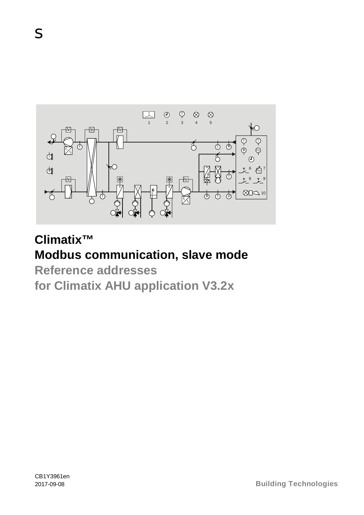

# **Climatix™ Modbus communication, slave mode**

**Reference addresses for Climatix AHU application V3.2x**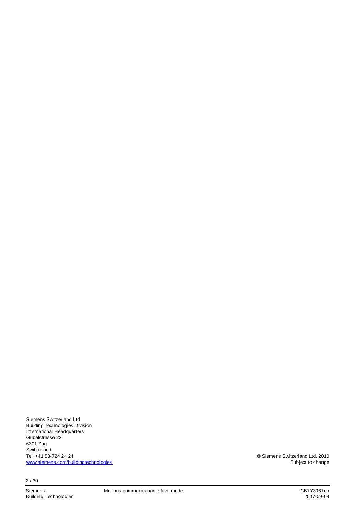Siemens Switzerland Ltd Building Technologies Division International Headquarters Gubelstrasse 22 6301 Zug **Switzerland** Tel. +41 58-724 24 24 [www.siemens.com/buildingtechnologies](http://www.siemens.com/buildingtechnologies)

2 / 30

© Siemens Switzerland Ltd, 2010 Subject to change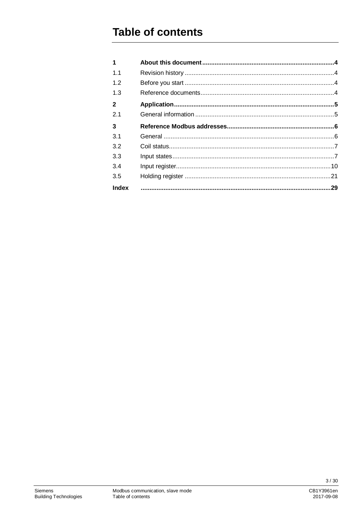## **Table of contents**

| 1            |    |
|--------------|----|
| 1.1          |    |
| 1.2          |    |
| 1.3          |    |
| 2            |    |
| 2.1          |    |
| 3            |    |
| 3.1          |    |
| 3.2          |    |
| 3.3          |    |
| 3.4          |    |
| 3.5          |    |
| <b>Index</b> | 29 |

 $3/30$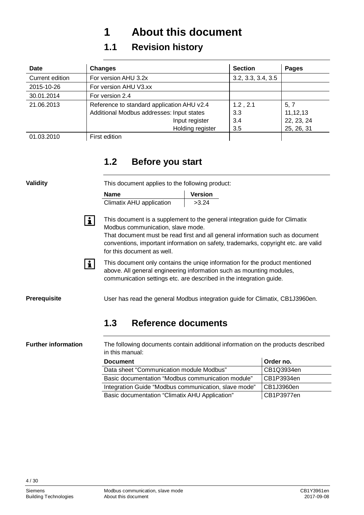## <span id="page-3-0"></span>**1 About this document**

### <span id="page-3-1"></span>**1.1 Revision history**

| Date            | <b>Changes</b>                             | <b>Section</b>     | <b>Pages</b> |
|-----------------|--------------------------------------------|--------------------|--------------|
| Current edition | For version AHU 3.2x                       | 3.2, 3.3, 3.4, 3.5 |              |
| 2015-10-26      | For version AHU V3.xx                      |                    |              |
| 30.01.2014      | For version 2.4                            |                    |              |
| 21.06.2013      | Reference to standard application AHU v2.4 | 1.2, 2.1           | 5, 7         |
|                 | Additional Modbus addresses: Input states  | 3.3                | 11,12,13     |
|                 | Input register                             | 3.4                | 22, 23, 24   |
|                 | Holding register                           | 3.5                | 25, 26, 31   |
| 01.03.2010      | First edition                              |                    |              |

### <span id="page-3-2"></span>**1.2 Before you start**

| <b>Validity</b>            | This document applies to the following product:                                                                                                                                                                                                                                                                       |                |           |
|----------------------------|-----------------------------------------------------------------------------------------------------------------------------------------------------------------------------------------------------------------------------------------------------------------------------------------------------------------------|----------------|-----------|
|                            | <b>Name</b>                                                                                                                                                                                                                                                                                                           | <b>Version</b> |           |
|                            | Climatix AHU application                                                                                                                                                                                                                                                                                              | >3.24          |           |
| $\mathbf{i}$               | This document is a supplement to the general integration guide for Climatix<br>Modbus communication, slave mode.<br>That document must be read first and all general information such as document<br>conventions, important information on safety, trademarks, copyright etc. are valid<br>for this document as well. |                |           |
| $\mathbf{i}$               | This document only contains the uniqe information for the product mentioned<br>above. All general engineering information such as mounting modules,<br>communication settings etc. are described in the integration guide.                                                                                            |                |           |
| <b>Prerequisite</b>        | User has read the general Modbus integration guide for Climatix, CB1J3960en.                                                                                                                                                                                                                                          |                |           |
|                            | 1.3<br>Reference documents                                                                                                                                                                                                                                                                                            |                |           |
| <b>Further information</b> | The following documents contain additional information on the products described<br>in this manual:                                                                                                                                                                                                                   |                |           |
|                            | <b>Document</b>                                                                                                                                                                                                                                                                                                       |                | Order no. |

<span id="page-3-3"></span>

| ----------                                           | VIWVI IIVI |
|------------------------------------------------------|------------|
| Data sheet "Communication module Modbus"             | CB1Q3934en |
| Basic documentation "Modbus communication module"    | CB1P3934en |
| Integration Guide "Modbus communication, slave mode" | CB1J3960en |
| Basic documentation "Climatix AHU Application"       | CB1P3977en |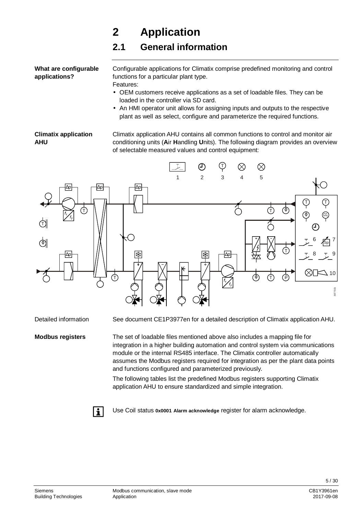## <span id="page-4-0"></span>**2 Application**

## <span id="page-4-1"></span>**2.1 General information**

**What are configurable applications?**

Configurable applications for Climatix comprise predefined monitoring and control functions for a particular plant type. Features:

- OEM customers receive applications as a set of loadable files. They can be loaded in the controller via SD card.
- An HMI operator unit allows for assigning inputs and outputs to the respective plant as well as select, configure and parameterize the required functions.

#### **Climatix application AHU**

Climatix application AHU contains all common functions to control and monitor air conditioning units (**A**ir **H**andling **U**nits). The following diagram provides an overview of selectable measured values and control equipment:



Detailed information

**Modbus registers**

See document CE1P3977en for a detailed description of Climatix application AHU.

The set of loadable files mentioned above also includes a mapping file for integration in a higher building automation and control system via communications module or the internal RS485 interface. The Climatix controller automatically assumes the Modbus registers required for integration as per the plant data points and functions configured and parameterized previously.

The following tables list the predefined Modbus registers supporting Climatix application AHU to ensure standardized and simple integration.



Use Coil status **0x0001 Alarm acknowledge** register for alarm acknowledge.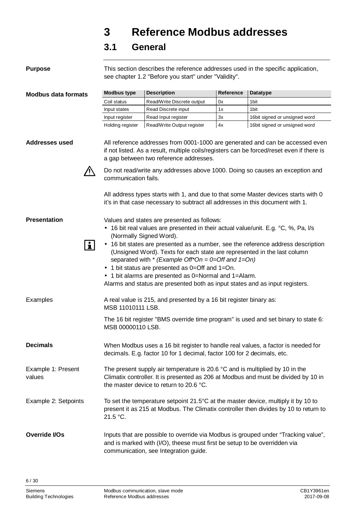## <span id="page-5-0"></span>**3 Reference Modbus addresses**

### <span id="page-5-1"></span>**3.1 General**

| <b>Purpose</b>                      |                         | see chapter 1.2 "Before you start" under "Validity".                                                                                                                                                                                                                                                                                                                                                                                                        |                  | This section describes the reference addresses used in the specific application,                                                                                           |
|-------------------------------------|-------------------------|-------------------------------------------------------------------------------------------------------------------------------------------------------------------------------------------------------------------------------------------------------------------------------------------------------------------------------------------------------------------------------------------------------------------------------------------------------------|------------------|----------------------------------------------------------------------------------------------------------------------------------------------------------------------------|
| <b>Modbus data formats</b>          | <b>Modbus type</b>      | <b>Description</b>                                                                                                                                                                                                                                                                                                                                                                                                                                          | <b>Reference</b> | <b>Datatype</b>                                                                                                                                                            |
|                                     | Coil status             | Read/Write Discrete output                                                                                                                                                                                                                                                                                                                                                                                                                                  | 0x               | 1bit                                                                                                                                                                       |
|                                     | Input states            | Read Discrete input                                                                                                                                                                                                                                                                                                                                                                                                                                         | 1x               | 1bit                                                                                                                                                                       |
|                                     | Input register          | Read Input register                                                                                                                                                                                                                                                                                                                                                                                                                                         | 3x               | 16bit signed or unsigned word                                                                                                                                              |
|                                     | Holding register        | Read/Write Output register                                                                                                                                                                                                                                                                                                                                                                                                                                  | 4x               | 16bit signed or unsigned word                                                                                                                                              |
| <b>Addresses used</b>               |                         | a gap between two reference addresses.                                                                                                                                                                                                                                                                                                                                                                                                                      |                  | All reference addresses from 0001-1000 are generated and can be accessed even<br>if not listed. As a result, multiple coils/registers can be forced/reset even if there is |
|                                     | communication fails.    |                                                                                                                                                                                                                                                                                                                                                                                                                                                             |                  | Do not read/write any addresses above 1000. Doing so causes an exception and                                                                                               |
|                                     |                         | it's in that case necessary to subtract all addresses in this document with 1.                                                                                                                                                                                                                                                                                                                                                                              |                  | All address types starts with 1, and due to that some Master devices starts with 0                                                                                         |
| <b>Presentation</b><br>$\mathbf{i}$ | (Normally Signed Word). | Values and states are presented as follows:<br>16 bit real values are presented in their actual value/unit. E.g. °C, %, Pa, I/s<br>(Unsigned Word). Texts for each state are represented in the last column<br>separated with * (Example Off*On = 0=Off and 1=On)<br>1 bit status are presented as 0=Off and 1=On.<br>. 1 bit alarms are presented as 0=Normal and 1=Alarm.<br>Alarms and status are presented both as input states and as input registers. |                  | . 16 bit states are presented as a number, see the reference address description                                                                                           |
| Examples                            | MSB 11010111 LSB.       | A real value is 215, and presented by a 16 bit register binary as:                                                                                                                                                                                                                                                                                                                                                                                          |                  |                                                                                                                                                                            |
|                                     | MSB 00000110 LSB.       |                                                                                                                                                                                                                                                                                                                                                                                                                                                             |                  | The 16 bit register "BMS override time program" is used and set binary to state 6:                                                                                         |
| <b>Decimals</b>                     |                         | decimals. E.g. factor 10 for 1 decimal, factor 100 for 2 decimals, etc.                                                                                                                                                                                                                                                                                                                                                                                     |                  | When Modbus uses a 16 bit register to handle real values, a factor is needed for                                                                                           |
| Example 1: Present<br>values        |                         | The present supply air temperature is 20.6 °C and is multiplied by 10 in the<br>the master device to return to 20.6 °C.                                                                                                                                                                                                                                                                                                                                     |                  | Climatix controller. It is presented as 206 at Modbus and must be divided by 10 in                                                                                         |
| Example 2: Setpoints                | 21.5 °C.                |                                                                                                                                                                                                                                                                                                                                                                                                                                                             |                  | To set the temperature setpoint 21.5°C at the master device, multiply it by 10 to<br>present it as 215 at Modbus. The Climatix controller then divides by 10 to return to  |
| Override I/Os                       |                         | and is marked with (I/O), theese must first be setup to be overridden via<br>communication, see Integration guide.                                                                                                                                                                                                                                                                                                                                          |                  | Inputs that are possible to override via Modbus is grouped under "Tracking value",                                                                                         |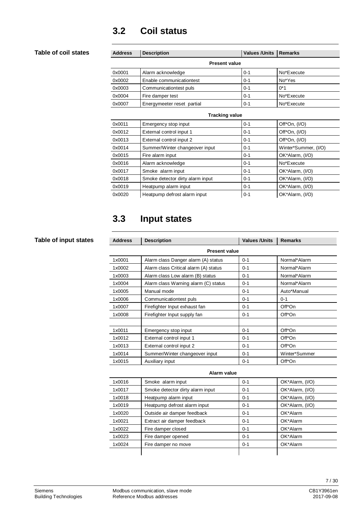### <span id="page-6-0"></span>**3.2 Coil status**

#### **Table of coil states**

| <b>Address</b>       | <b>Description</b>         | <b>Values /Units</b> | <b>Remarks</b> |  |
|----------------------|----------------------------|----------------------|----------------|--|
| <b>Present value</b> |                            |                      |                |  |
| 0x0001               | Alarm acknowledge          | $0 - 1$              | No*Execute     |  |
| 0x0002               | Enable communicationtest   | $0 - 1$              | No*Yes         |  |
| 0x0003               | Communicationtest puls     | $0 - 1$              | $0*1$          |  |
| 0x0004               | Fire damper test           | $0 - 1$              | No*Execute     |  |
| 0x0007               | Energymeeter reset partial | $0 - 1$              | No*Execute     |  |
|                      |                            |                      |                |  |

| <b>Tracking value</b> |                                  |         |                      |  |
|-----------------------|----------------------------------|---------|----------------------|--|
| 0x0011                | Emergency stop input             | $0 - 1$ | Off*On, (I/O)        |  |
| 0x0012                | External control input 1         | $0 - 1$ | Off*On, (I/O)        |  |
| 0x0013                | External control input 2         | $0 - 1$ | Off $*On, (I/O)$     |  |
| 0x0014                | Summer/Winter changeover input   | $0 - 1$ | Winter*Summer, (I/O) |  |
| 0x0015                | Fire alarm input                 | $0 - 1$ | OK*Alarm, (I/O)      |  |
| 0x0016                | Alarm acknowledge                | $0 - 1$ | No*Execute           |  |
| 0x0017                | Smoke alarm input                | $0 - 1$ | OK*Alarm, (I/O)      |  |
| 0x0018                | Smoke detector dirty alarm input | $0 - 1$ | OK*Alarm, (I/O)      |  |
| 0x0019                | Heatpump alarm input             | $0 - 1$ | OK*Alarm, (I/O)      |  |
| 0x0020                | Heatpump defrost alarm input     | $0 - 1$ | OK*Alarm, (I/O)      |  |

### <span id="page-6-1"></span>**3.3 Input states**

#### **Table of input states**

| <b>Address</b> | <b>Description</b>                    | <b>Values / Units</b> | <b>Remarks</b> |  |  |
|----------------|---------------------------------------|-----------------------|----------------|--|--|
|                | <b>Present value</b>                  |                       |                |  |  |
| 1x0001         | Alarm class Danger alarm (A) status   | $0 - 1$               | Normal*Alarm   |  |  |
| 1x0002         | Alarm class Critical alarm (A) status | $0 - 1$               | Normal*Alarm   |  |  |
| 1x0003         | Alarm class Low alarm (B) status      | $0 - 1$               | Normal*Alarm   |  |  |
| 1x0004         | Alarm class Warning alarm (C) status  | $0 - 1$               | Normal*Alarm   |  |  |
| 1x0005         | Manual mode                           | $0 - 1$               | Auto*Manual    |  |  |
| 1x0006         | Communicationtest puls                | $0 - 1$               | $0 - 1$        |  |  |
| 1x0007         | Firefighter Input exhaust fan         | $0 - 1$               | Off*On         |  |  |
| 1x0008         | Firefighter Input supply fan          | $0 - 1$               | Off*On         |  |  |
|                |                                       |                       |                |  |  |
| 1x0011         | Emergency stop input                  | $0 - 1$               | Off*On         |  |  |
| 1x0012         | External control input 1              | $0 - 1$               | Off*On         |  |  |
| 1x0013         | External control input 2              | $0 - 1$               | Off*On         |  |  |
| 1x0014         | Summer/Winter changeover input        | $0 - 1$               | Winter*Summer  |  |  |
| 1x0015         | Auxiliary input                       | $0 - 1$               | Off*On         |  |  |
|                |                                       |                       |                |  |  |

| 1x0016 | Smoke alarm input                | $0 - 1$ | OK*Alarm, (I/O) |  |
|--------|----------------------------------|---------|-----------------|--|
| 1x0017 | Smoke detector dirty alarm input | $0 - 1$ | OK*Alarm, (I/O) |  |
| 1x0018 | Heatpump alarm input             | $0 - 1$ | OK*Alarm, (I/O) |  |
| 1x0019 | Heatpump defrost alarm input     | $0 - 1$ | OK*Alarm, (I/O) |  |
| 1x0020 | Outside air damper feedback      | $0 - 1$ | OK*Alarm        |  |
| 1x0021 | Extract air damper feedback      | $0 - 1$ | OK*Alarm        |  |
| 1x0022 | Fire damper closed               | $0 - 1$ | OK*Alarm        |  |
| 1x0023 | Fire damper opened               | $0 - 1$ | OK*Alarm        |  |
| 1x0024 | Fire damper no move              | $0 - 1$ | OK*Alarm        |  |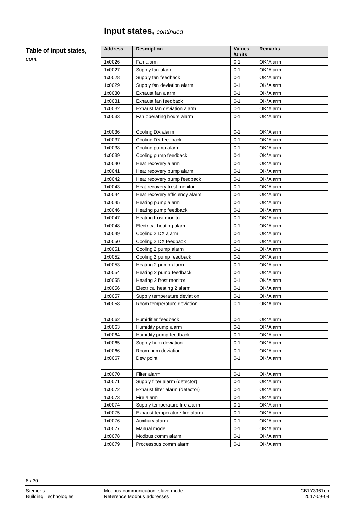### **Input states,** *continued*

#### **Table of input states,**

*cont.*

| <b>Address</b> | <b>Description</b>              | <b>Values</b><br>/Units | <b>Remarks</b> |
|----------------|---------------------------------|-------------------------|----------------|
| 1x0026         | Fan alarm                       | $0 - 1$                 | OK*Alarm       |
| 1x0027         | Supply fan alarm                | $0 - 1$                 | OK*Alarm       |
| 1x0028         | Supply fan feedback             | 0-1                     | OK*Alarm       |
| 1x0029         | Supply fan deviation alarm      | $0 - 1$                 | OK*Alarm       |
| 1x0030         | Exhaust fan alarm               | $0 - 1$                 | OK*Alarm       |
| 1x0031         | Exhaust fan feedback            | $0 - 1$                 | OK*Alarm       |
| 1x0032         | Exhaust fan deviation alarm     | $0 - 1$                 | OK*Alarm       |
| 1x0033         | Fan operating hours alarm       | $0 - 1$                 | OK*Alarm       |
|                |                                 |                         |                |
| 1x0036         | Cooling DX alarm                | $0 - 1$                 | OK*Alarm       |
| 1x0037         | Cooling DX feedback             | $0 - 1$                 | OK*Alarm       |
| 1x0038         | Cooling pump alarm              | $0 - 1$                 | OK*Alarm       |
| 1x0039         | Cooling pump feedback           | $0 - 1$                 | OK*Alarm       |
| 1x0040         | Heat recovery alarm             | $0 - 1$                 | OK*Alarm       |
| 1x0041         | Heat recovery pump alarm        | $0 - 1$                 | OK*Alarm       |
| 1x0042         | Heat recovery pump feedback     | $0 - 1$                 | OK*Alarm       |
| 1x0043         | Heat recovery frost monitor     | $0 - 1$                 | OK*Alarm       |
| 1x0044         | Heat recovery efficiency alarm  | $0 - 1$                 | OK*Alarm       |
| 1x0045         | Heating pump alarm              | 0-1                     | OK*Alarm       |
| 1x0046         | Heating pump feedback           | $0 - 1$                 | OK*Alarm       |
| 1x0047         | Heating frost monitor           | $0 - 1$                 | OK*Alarm       |
| 1x0048         | Electrical heating alarm        | $0 - 1$                 | OK*Alarm       |
| 1x0049         | Cooling 2 DX alarm              | $0 - 1$                 | OK*Alarm       |
| 1x0050         | Cooling 2 DX feedback           | $0 - 1$                 | OK*Alarm       |
| 1x0051         | Cooling 2 pump alarm            | $0 - 1$                 | OK*Alarm       |
| 1x0052         | Cooling 2 pump feedback         | $0 - 1$                 | OK*Alarm       |
| 1x0053         | Heating 2 pump alarm            | 0-1                     | OK*Alarm       |
| 1x0054         | Heating 2 pump feedback         | $0 - 1$                 | OK*Alarm       |
| 1x0055         | Heating 2 frost monitor         | $0 - 1$                 | OK*Alarm       |
| 1x0056         | Electrical heating 2 alarm      | $0 - 1$                 | OK*Alarm       |
| 1x0057         | Supply temperature deviation    | $0 - 1$                 | OK*Alarm       |
| 1x0058         | Room temperature deviation      | $0 - 1$                 | OK*Alarm       |
|                |                                 |                         |                |
| 1x0062         | Humidifier feedback             | $0 - 1$                 | OK*Alarm       |
| 1x0063         | Humidity pump alarm             | $0 - 1$                 | OK*Alarm       |
| 1x0064         | Humidity pump feedback          | $0 - 1$                 | OK*Alarm       |
| 1x0065         | Supply hum deviation            | $0 - 1$                 | OK*Alarm       |
| 1x0066         | Room hum deviation              | $0 - 1$                 | OK*Alarm       |
| 1x0067         | Dew point                       | $0 - 1$                 | OK*Alarm       |
|                |                                 |                         |                |
| 1x0070         | Filter alarm                    | $0 - 1$                 | OK*Alarm       |
| 1x0071         | Supply filter alarm (detector)  | $0 - 1$                 | OK*Alarm       |
| 1x0072         | Exhaust filter alarm (detector) | $0 - 1$                 | OK*Alarm       |
| 1x0073         | Fire alarm                      | $0 - 1$                 | OK*Alarm       |
| 1x0074         | Supply temperature fire alarm   | $0 - 1$                 | OK*Alarm       |
| 1x0075         | Exhaust temperature fire alarm  | 0-1                     | OK*Alarm       |
| 1x0076         | Auxiliary alarm                 | $0 - 1$                 | OK*Alarm       |
| 1x0077         | Manual mode                     | $0 - 1$                 | OK*Alarm       |
| 1x0078         | Modbus comm alarm               | $0 - 1$                 | OK*Alarm       |
| 1x0079         | Processbus comm alarm           | $0 - 1$                 | OK*Alarm       |

8 / 30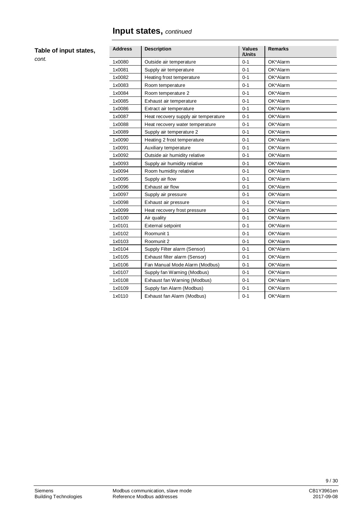### **Input states,** *continued*

#### **Table of input states,**

| <b>Address</b> | <b>Description</b>                   | <b>Values</b><br>/Units | <b>Remarks</b> |
|----------------|--------------------------------------|-------------------------|----------------|
| 1x0080         | Outside air temperature              | $0 - 1$                 | OK*Alarm       |
| 1x0081         | Supply air temperature               | $0 - 1$                 | OK*Alarm       |
| 1x0082         | Heating frost temperature            | $0 - 1$                 | OK*Alarm       |
| 1x0083         | Room temperature                     | $0 - 1$                 | OK*Alarm       |
| 1x0084         | Room temperature 2                   | $0 - 1$                 | OK*Alarm       |
| 1x0085         | Exhaust air temperature              | $0 - 1$                 | OK*Alarm       |
| 1x0086         | Extract air temperature              | $0 - 1$                 | OK*Alarm       |
| 1x0087         | Heat recovery supply air temperature | $0 - 1$                 | OK*Alarm       |
| 1x0088         | Heat recovery water temperature      | $0 - 1$                 | OK*Alarm       |
| 1x0089         | Supply air temperature 2             | $0 - 1$                 | OK*Alarm       |
| 1x0090         | Heating 2 frost temperature          | $0 - 1$                 | OK*Alarm       |
| 1x0091         | Auxiliary temperature                | $0 - 1$                 | OK*Alarm       |
| 1x0092         | Outside air humidity relative        | $0 - 1$                 | OK*Alarm       |
| 1x0093         | Supply air humidity relative         | $0 - 1$                 | OK*Alarm       |
| 1x0094         | Room humidity relative               | $0 - 1$                 | OK*Alarm       |
| 1x0095         | Supply air flow                      | $0 - 1$                 | OK*Alarm       |
| 1x0096         | Exhaust air flow                     | $0 - 1$                 | OK*Alarm       |
| 1x0097         | Supply air pressure                  | $0 - 1$                 | OK*Alarm       |
| 1x0098         | Exhaust air pressure                 | $0 - 1$                 | OK*Alarm       |
| 1x0099         | Heat recovery frost pressure         | $0 - 1$                 | OK*Alarm       |
| 1x0100         | Air quality                          | $0 - 1$                 | OK*Alarm       |
| 1x0101         | External setpoint                    | $0 - 1$                 | OK*Alarm       |
| 1x0102         | Roomunit 1                           | $0 - 1$                 | OK*Alarm       |
| 1x0103         | Roomunit 2                           | $0 - 1$                 | OK*Alarm       |
| 1x0104         | Supply Filter alarm (Sensor)         | $0 - 1$                 | OK*Alarm       |
| 1x0105         | Exhaust filter alarm (Sensor)        | $0 - 1$                 | OK*Alarm       |
| 1x0106         | Fan Manual Mode Alarm (Modbus)       | $0 - 1$                 | OK*Alarm       |
| 1x0107         | Supply fan Warning (Modbus)          | $0 - 1$                 | OK*Alarm       |
| 1x0108         | Exhaust fan Warning (Modbus)         | $0 - 1$                 | OK*Alarm       |
| 1x0109         | Supply fan Alarm (Modbus)            | $0 - 1$                 | OK*Alarm       |
| 1x0110         | Exhaust fan Alarm (Modbus)           | $0 - 1$                 | OK*Alarm       |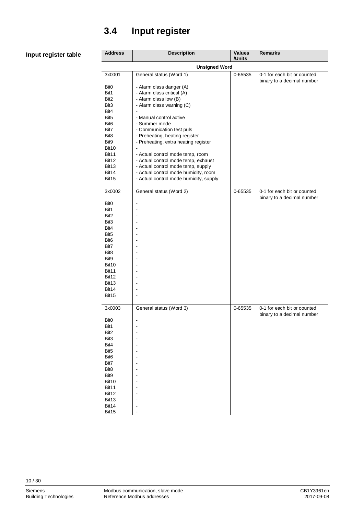### <span id="page-9-0"></span>**3.4 Input register**

#### **Input register table**

| <b>Address</b>           | <b>Description</b>                                          | <b>Values</b><br>/Units | <b>Remarks</b>              |  |  |
|--------------------------|-------------------------------------------------------------|-------------------------|-----------------------------|--|--|
| <b>Unsigned Word</b>     |                                                             |                         |                             |  |  |
| 3x0001                   | General status (Word 1)                                     | 0-65535                 | 0-1 for each bit or counted |  |  |
| Bit <sub>0</sub>         | - Alarm class danger (A)                                    |                         | binary to a decimal number  |  |  |
| Bit1                     | - Alarm class critical (A)                                  |                         |                             |  |  |
| Bit <sub>2</sub>         | - Alarm class low (B)                                       |                         |                             |  |  |
| Bit3                     | - Alarm class warning (C)                                   |                         |                             |  |  |
| Bit4                     | $\overline{\phantom{a}}$                                    |                         |                             |  |  |
| Bit <sub>5</sub>         | - Manual control active                                     |                         |                             |  |  |
| Bit <sub>6</sub><br>Bit7 | - Summer mode                                               |                         |                             |  |  |
| Bit <sub>8</sub>         | - Communication test puls<br>- Preheating, heating register |                         |                             |  |  |
| Bit9                     | - Preheating, extra heating register                        |                         |                             |  |  |
| Bit10                    | $\frac{1}{2}$                                               |                         |                             |  |  |
| Bit11                    | - Actual control mode temp, room                            |                         |                             |  |  |
| Bit12                    | - Actual control mode temp, exhaust                         |                         |                             |  |  |
| Bit <sub>13</sub>        | - Actual control mode temp, supply                          |                         |                             |  |  |
| Bit14                    | - Actual control mode humidity, room                        |                         |                             |  |  |
| Bit15                    | - Actual control mode humidity, supply                      |                         |                             |  |  |
| 3x0002                   | General status (Word 2)                                     | 0-65535                 | 0-1 for each bit or counted |  |  |
|                          |                                                             |                         | binary to a decimal number  |  |  |
| Bit <sub>0</sub>         | $\overline{\phantom{a}}$                                    |                         |                             |  |  |
| Bit1                     |                                                             |                         |                             |  |  |
| Bit <sub>2</sub>         |                                                             |                         |                             |  |  |
| Bit3<br>Bit4             | ۰                                                           |                         |                             |  |  |
| Bit <sub>5</sub>         |                                                             |                         |                             |  |  |
| Bit <sub>6</sub>         | ۰                                                           |                         |                             |  |  |
| Bit7                     |                                                             |                         |                             |  |  |
| Bit <sub>8</sub>         |                                                             |                         |                             |  |  |
| Bit9                     | ۰                                                           |                         |                             |  |  |
| Bit10                    |                                                             |                         |                             |  |  |
| Bit11<br>Bit12           | ۰                                                           |                         |                             |  |  |
| Bit <sub>13</sub>        |                                                             |                         |                             |  |  |
| Bit14                    |                                                             |                         |                             |  |  |
| Bit15                    | ٠                                                           |                         |                             |  |  |
|                          |                                                             |                         |                             |  |  |
| 3x0003                   | General status (Word 3)                                     | 0-65535                 | 0-1 for each bit or counted |  |  |
| Bit <sub>0</sub>         | ٠                                                           |                         | binary to a decimal number  |  |  |
| Bit1                     |                                                             |                         |                             |  |  |
| Bit2                     |                                                             |                         |                             |  |  |
| Bit3                     | ä,                                                          |                         |                             |  |  |
| Bit4                     |                                                             |                         |                             |  |  |
| Bit <sub>5</sub>         |                                                             |                         |                             |  |  |
| Bit <sub>6</sub>         | ä,                                                          |                         |                             |  |  |
| Bit7<br>Bit8             |                                                             |                         |                             |  |  |
| Bit9                     | ä,                                                          |                         |                             |  |  |
| Bit10                    |                                                             |                         |                             |  |  |
| Bit11                    |                                                             |                         |                             |  |  |
| Bit12                    | ä,                                                          |                         |                             |  |  |
| Bit13                    |                                                             |                         |                             |  |  |
| Bit14<br>Bit15           |                                                             |                         |                             |  |  |
|                          |                                                             |                         |                             |  |  |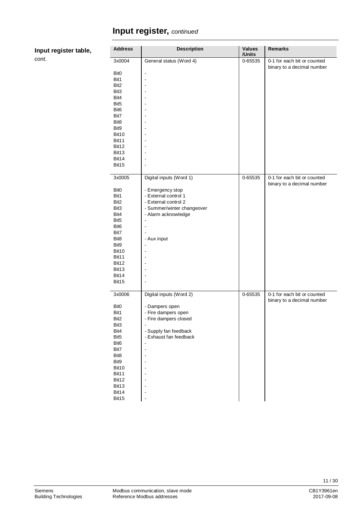| Input register table, |
|-----------------------|
|                       |

| <b>Address</b>             | <b>Description</b>                        | <b>Values</b><br>/Units | <b>Remarks</b>                                            |
|----------------------------|-------------------------------------------|-------------------------|-----------------------------------------------------------|
| 3x0004<br>Bit <sub>0</sub> | General status (Word 4)<br>$\overline{a}$ | $0 - 65535$             | 0-1 for each bit or counted<br>binary to a decimal number |
| Bit1                       |                                           |                         |                                                           |
| Bit <sub>2</sub>           |                                           |                         |                                                           |
| Bit3                       |                                           |                         |                                                           |
| Bit4                       |                                           |                         |                                                           |
| Bit <sub>5</sub>           |                                           |                         |                                                           |
| Bit <sub>6</sub>           |                                           |                         |                                                           |
| Bit7                       |                                           |                         |                                                           |
| Bit8                       |                                           |                         |                                                           |
| Bit9                       |                                           |                         |                                                           |
| Bit10                      |                                           |                         |                                                           |
| Bit11                      |                                           |                         |                                                           |
| Bit12                      |                                           |                         |                                                           |
| Bit13                      |                                           |                         |                                                           |
| Bit14                      |                                           |                         |                                                           |
| Bit15                      | ÷,                                        |                         |                                                           |
|                            |                                           |                         |                                                           |
| 3x0005                     | Digital inputs (Word 1)                   | 0-65535                 | 0-1 for each bit or counted<br>binary to a decimal number |
| Bit <sub>0</sub>           | - Emergency stop                          |                         |                                                           |
| Bit1                       | - External control 1                      |                         |                                                           |
| Bit <sub>2</sub>           | - External control 2                      |                         |                                                           |
| Bit3                       | - Summer/winter changeover                |                         |                                                           |
| Bit4                       | - Alarm acknowledge                       |                         |                                                           |
| Bit <sub>5</sub>           | $\overline{a}$                            |                         |                                                           |
| Bit <sub>6</sub>           |                                           |                         |                                                           |
| Bit7                       |                                           |                         |                                                           |
| Bit8                       | - Aux input                               |                         |                                                           |
| Bit9                       |                                           |                         |                                                           |
| Bit10                      |                                           |                         |                                                           |
| Bit11                      |                                           |                         |                                                           |
| Bit12                      |                                           |                         |                                                           |
| Bit13                      |                                           |                         |                                                           |
| Bit14                      | ÷,                                        |                         |                                                           |
| Bit15                      |                                           |                         |                                                           |
|                            |                                           |                         |                                                           |
| 3x0006                     | Digital inputs (Word 2)                   | 0-65535                 | 0-1 for each bit or counted<br>binary to a decimal number |
| Bit0                       | - Dampers open                            |                         |                                                           |
| Bit1                       | - Fire dampers open                       |                         |                                                           |
| Bit2                       | - Fire dampers closed                     |                         |                                                           |
| Bit3                       |                                           |                         |                                                           |
| Bit4                       | - Supply fan feedback                     |                         |                                                           |
| Bit <sub>5</sub>           | - Exhaust fan feedback                    |                         |                                                           |
| Bit <sub>6</sub>           |                                           |                         |                                                           |
| Bit7                       | ٠                                         |                         |                                                           |
| Bit8                       |                                           |                         |                                                           |
| Bit9                       |                                           |                         |                                                           |
| Bit10                      |                                           |                         |                                                           |
| Bit11                      |                                           |                         |                                                           |
| Bit12                      |                                           |                         |                                                           |
| Bit13                      |                                           |                         |                                                           |
| Bit14                      |                                           |                         |                                                           |
| Bit15                      | ۰                                         |                         |                                                           |
|                            |                                           |                         |                                                           |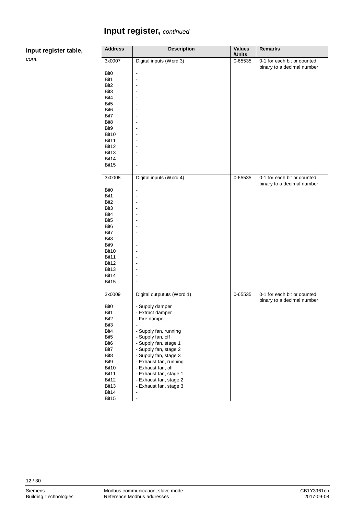**Input register table,**

| <b>Address</b>           | <b>Description</b>               | <b>Values</b> | <b>Remarks</b>              |
|--------------------------|----------------------------------|---------------|-----------------------------|
|                          |                                  | /Units        |                             |
| 3x0007                   | Digital inputs (Word 3)          | 0-65535       | 0-1 for each bit or counted |
|                          |                                  |               | binary to a decimal number  |
| Bit <sub>0</sub>         | $\blacksquare$<br>ä,             |               |                             |
| Bit1<br>Bit2             | $\blacksquare$                   |               |                             |
| Bit3                     | ä,                               |               |                             |
| Bit4                     | $\blacksquare$                   |               |                             |
| Bit <sub>5</sub>         | ä,                               |               |                             |
| Bit <sub>6</sub>         | $\overline{\phantom{a}}$         |               |                             |
| Bit7                     | $\blacksquare$                   |               |                             |
| Bit <sub>8</sub>         | $\blacksquare$                   |               |                             |
| Bit9                     | $\overline{\phantom{a}}$         |               |                             |
| Bit10                    |                                  |               |                             |
| Bit11                    | ä,                               |               |                             |
| Bit12                    | $\overline{\phantom{a}}$         |               |                             |
| Bit13                    | $\overline{a}$                   |               |                             |
| Bit14                    | $\blacksquare$                   |               |                             |
| Bit15                    | ä,                               |               |                             |
| 3x0008                   | Digital inputs (Word 4)          | 0-65535       | 0-1 for each bit or counted |
|                          |                                  |               | binary to a decimal number  |
| Bit <sub>0</sub>         | $\blacksquare$                   |               |                             |
| Bit1                     |                                  |               |                             |
| Bit2                     | $\blacksquare$                   |               |                             |
| Bit3                     | $\overline{\phantom{a}}$         |               |                             |
| Bit4                     |                                  |               |                             |
| Bit <sub>5</sub>         | $\blacksquare$                   |               |                             |
| Bit <sub>6</sub>         | $\overline{\phantom{a}}$         |               |                             |
| Bit7                     |                                  |               |                             |
| Bit <sub>8</sub><br>Bit9 | $\blacksquare$<br>$\blacksquare$ |               |                             |
| Bit10                    | ä,                               |               |                             |
| Bit11                    | $\blacksquare$                   |               |                             |
| Bit12                    | $\blacksquare$                   |               |                             |
| Bit13                    | L,                               |               |                             |
| Bit14                    | $\overline{\phantom{a}}$         |               |                             |
| Bit15                    | ä,                               |               |                             |
|                          |                                  |               |                             |
| 3x0009                   | Digital outpututs (Word 1)       | 0-65535       | 0-1 for each bit or counted |
|                          |                                  |               | binary to a decimal number  |
| Bit <sub>0</sub>         | - Supply damper                  |               |                             |
| Bit1                     | - Extract damper                 |               |                             |
| Bit2                     | - Fire damper                    |               |                             |
| Bit3<br>Bit4             | - Supply fan, running            |               |                             |
| Bit <sub>5</sub>         | - Supply fan, off                |               |                             |
| Bit <sub>6</sub>         | - Supply fan, stage 1            |               |                             |
| Bit7                     | - Supply fan, stage 2            |               |                             |
| Bit8                     | - Supply fan, stage 3            |               |                             |
| Bit9                     | - Exhaust fan, running           |               |                             |
| Bit10                    | - Exhaust fan, off               |               |                             |
| Bit11                    | - Exhaust fan, stage 1           |               |                             |
| Bit12                    | - Exhaust fan, stage 2           |               |                             |
| Bit13                    | - Exhaust fan, stage 3           |               |                             |
| Bit14                    | $\qquad \qquad \blacksquare$     |               |                             |
| Bit15                    |                                  |               |                             |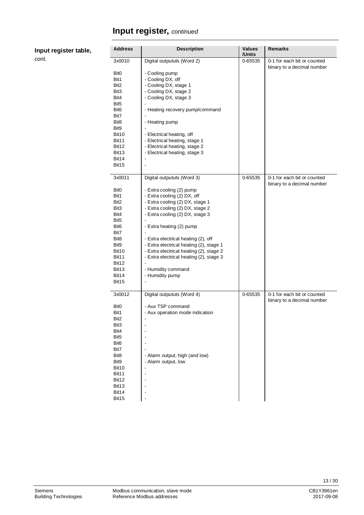**Input register table,**

 $\overline{\phantom{a}}$ 

 $\overline{a}$ 

j.

| <b>Address</b>                                                                                                                                                                                             | <b>Description</b>                                                                                                                                                                                                                                                                                                                                                                                            | <b>Values</b><br>/Units | <b>Remarks</b>                                            |
|------------------------------------------------------------------------------------------------------------------------------------------------------------------------------------------------------------|---------------------------------------------------------------------------------------------------------------------------------------------------------------------------------------------------------------------------------------------------------------------------------------------------------------------------------------------------------------------------------------------------------------|-------------------------|-----------------------------------------------------------|
| 3x0010<br>Bit <sub>0</sub><br>Bit1<br>Bit <sub>2</sub><br>Bit3<br>Bit4<br>Bit <sub>5</sub><br>Bit <sub>6</sub><br>Bit7<br>Bit8<br>Bit9<br>Bit10<br><b>Bit11</b><br>Bit12<br>Bit13<br>Bit14<br>Bit15        | Digital outpututs (Word 2)<br>- Cooling pump<br>- Cooling DX, off<br>- Cooling DX, stage 1<br>- Cooling DX, stage 2<br>- Cooling DX, stage 3<br>- Heating recovery pump/command<br>- Heating pump<br>- Electrical heating, off<br>- Electrical heating, stage 1<br>- Electrical heating, stage 2<br>- Electrical heating, stage 3<br>$\blacksquare$                                                           | 0-65535                 | 0-1 for each bit or counted<br>binary to a decimal number |
| 3x0011                                                                                                                                                                                                     | Digital outpututs (Word 3)                                                                                                                                                                                                                                                                                                                                                                                    | 0-65535                 | 0-1 for each bit or counted<br>binary to a decimal number |
| Bit <sub>0</sub><br>Bit1<br>Bit2<br>Bit3<br>Bit4<br>Bit <sub>5</sub><br>Bit <sub>6</sub><br>Bit7<br>Bit <sub>8</sub><br>Bit9<br>Bit10<br>Bit11<br>Bit12<br>Bit <sub>13</sub><br>Bit14<br>Bit <sub>15</sub> | - Extra cooling (2) pump<br>- Extra cooling (2) DX, off<br>- Extra cooling (2) DX, stage 1<br>- Extra cooling (2) DX, stage 2<br>- Extra cooling (2) DX, stage 3<br>- Extra heating (2) pump<br>- Extra electrical heating (2), off<br>- Extra electrical heating (2), stage 1<br>- Extra electrical heating (2), stage 2<br>- Extra electrical heating (2), stage 3<br>- Humidity command<br>- Humidity pump |                         |                                                           |
| 3x0012<br>Bit <sub>0</sub><br>Bit1<br>Bit2<br>Bit3<br>Bit4<br>Bit <sub>5</sub><br>Bit <sub>6</sub><br>Bit7<br>Bit8<br>Bit9<br>Bit10<br>Bit11<br>Bit12<br>Bit13<br>Bit14<br>Bit15                           | Digital outpututs (Word 4)<br>- Aux TSP command<br>- Aux operation mode indication<br>- Alarm output, high (and low)<br>- Alarm output, low                                                                                                                                                                                                                                                                   | 0-65535                 | 0-1 for each bit or counted<br>binary to a decimal number |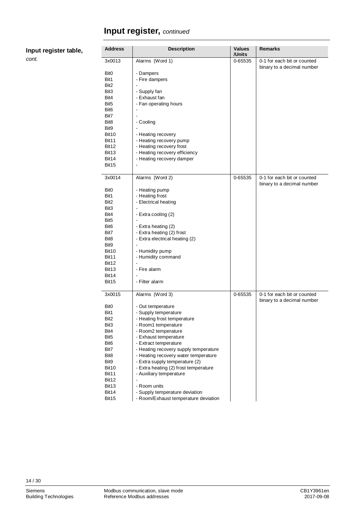| <b>Address</b>                   |
|----------------------------------|
| 3x0013                           |
| Bit <sub>0</sub><br>Bit1<br>---- |
|                                  |

| Address          | <b>Description</b>                                                     | Values<br>/Units | Remarks                     |
|------------------|------------------------------------------------------------------------|------------------|-----------------------------|
| 3x0013           | Alarms (Word 1)                                                        | 0-65535          | 0-1 for each bit or counted |
|                  |                                                                        |                  | binary to a decimal number  |
| BitO             | - Dampers                                                              |                  |                             |
| Bit1             | - Fire dampers                                                         |                  |                             |
| Bit2             |                                                                        |                  |                             |
| Bit3             | - Supply fan                                                           |                  |                             |
| Bit4             | - Exhaust fan                                                          |                  |                             |
| Bit5             | - Fan operating hours                                                  |                  |                             |
| Bit6             |                                                                        |                  |                             |
| Bit7             |                                                                        |                  |                             |
| Bit8             | - Cooling                                                              |                  |                             |
| Bit9             |                                                                        |                  |                             |
| Bit10            | - Heating recovery                                                     |                  |                             |
| Bit11            | - Heating recovery pump                                                |                  |                             |
| Bit12            | - Heating recovery frost                                               |                  |                             |
| Bit13            | - Heating recovery efficiency                                          |                  |                             |
| Bit14            | - Heating recovery damper                                              |                  |                             |
| Bit15            |                                                                        |                  |                             |
| 3x0014           | Alarms (Word 2)                                                        | 0-65535          | 0-1 for each bit or counted |
|                  |                                                                        |                  | binary to a decimal number  |
| BitO             | - Heating pump                                                         |                  |                             |
| Bit1             | - Heating frost                                                        |                  |                             |
| Bit2             | - Electrical heating                                                   |                  |                             |
| Bit3             |                                                                        |                  |                             |
| Bit4             | - Extra cooling (2)                                                    |                  |                             |
| Bit5             |                                                                        |                  |                             |
| Bit6             | - Extra heating (2)                                                    |                  |                             |
| Bit7             | - Extra heating (2) frost                                              |                  |                             |
| Bit8             | - Extra electrical heating (2)                                         |                  |                             |
| Bit9             |                                                                        |                  |                             |
| Bit10            | - Humidity pump                                                        |                  |                             |
| Bit11            | - Humidity command                                                     |                  |                             |
| Bit12            |                                                                        |                  |                             |
| Bit13            | - Fire alarm                                                           |                  |                             |
| Bit14            |                                                                        |                  |                             |
| Bit15            | - Filter alarm                                                         |                  |                             |
| 3x0015           | Alarms (Word 3)                                                        | 0-65535          | 0-1 for each bit or counted |
|                  |                                                                        |                  | binary to a decimal number  |
| Bit0             | - Out temperature                                                      |                  |                             |
| Bit1             | - Supply temperature                                                   |                  |                             |
| Bit2             | - Heating frost temperature                                            |                  |                             |
| Bit3             | - Room1 temperature                                                    |                  |                             |
| Bit4             | - Room2 temperature                                                    |                  |                             |
| Bit5             | - Exhaust temperature                                                  |                  |                             |
| Bit <sub>6</sub> | - Extract temperature                                                  |                  |                             |
| Bit7             | - Heating recovery supply temperature                                  |                  |                             |
| Bit8             | - Heating recovery water temperature                                   |                  |                             |
| Bit9             | - Extra supply temperature (2)                                         |                  |                             |
| Bit10            | - Extra heating (2) frost temperature                                  |                  |                             |
| Bit11            | - Auxiliary temperature                                                |                  |                             |
| Bit12            |                                                                        |                  |                             |
| Bit13            | - Room units                                                           |                  |                             |
| Bit14<br>Bit15   | - Supply temperature deviation<br>- Room/Exhaust temperature deviation |                  |                             |
|                  |                                                                        |                  |                             |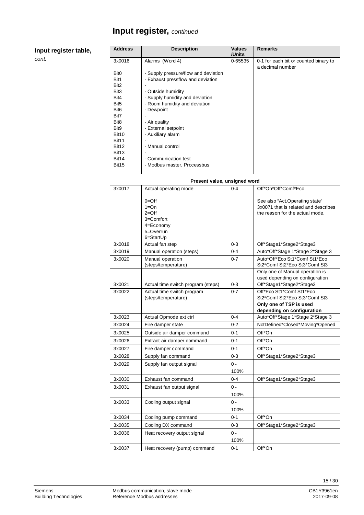| Input register table, |  |
|-----------------------|--|
|-----------------------|--|

| <b>Address</b>                   | <b>Description</b>                                                        | Values<br>/Units   | <b>Remarks</b>                                                    |
|----------------------------------|---------------------------------------------------------------------------|--------------------|-------------------------------------------------------------------|
| 3x0016                           | Alarms (Word 4)                                                           | 0-65535            | 0-1 for each bit or counted binary to                             |
| Bit <sub>0</sub><br>Bit1<br>Bit2 | - Supply pressure/flow and deviation<br>- Exhaust pressflow and deviation |                    | a decimal number                                                  |
| Bit <sub>3</sub>                 | - Outside humidity                                                        |                    |                                                                   |
| Bit4<br>Bit <sub>5</sub>         | - Supply humidity and deviation<br>- Room humidity and deviation          |                    |                                                                   |
| Bit <sub>6</sub>                 | - Dewpoint                                                                |                    |                                                                   |
| Bit7                             |                                                                           |                    |                                                                   |
| Bit8                             | - Air quality                                                             |                    |                                                                   |
| Bit9<br>Bit10                    | - External setpoint<br>- Auxiliary alarm                                  |                    |                                                                   |
| Bit11                            |                                                                           |                    |                                                                   |
| Bit12<br>Bit <sub>13</sub>       | - Manual control                                                          |                    |                                                                   |
| Bit14                            | - Communication test                                                      |                    |                                                                   |
| Bit15                            | - Modbus master, Processbus                                               |                    |                                                                   |
|                                  |                                                                           |                    |                                                                   |
|                                  | Present value, unsigned word                                              |                    |                                                                   |
| 3x0017                           | Actual operating mode                                                     | $0 - 4$            | Off*On*Off*Comf*Eco                                               |
|                                  | $0 =$ Off                                                                 |                    | See also "Act.Operating state"                                    |
|                                  | $1 = On$                                                                  |                    | 3x0071 that is related and describes                              |
|                                  | $2=Off$<br>3=Comfort                                                      |                    | the reason for the actual mode.                                   |
|                                  | 4=Economy                                                                 |                    |                                                                   |
|                                  | 5=Overrun                                                                 |                    |                                                                   |
|                                  | 6=StartUp                                                                 |                    |                                                                   |
| 3x0018                           | Actual fan step                                                           | $0 - 3$            | Off*Stage1*Stage2*Stage3                                          |
| 3x0019                           | Manual operation (steps)                                                  | $0 - 4$<br>$0 - 7$ | Auto*Off*Stage 1*Stage 2*Stage 3<br>Auto*Off*Eco St1*Comf St1*Eco |
| 3x0020                           | Manual operation<br>(steps/temperature)                                   |                    | St2*Comf St2*Eco St3*Comf St3                                     |
|                                  |                                                                           |                    | Only one of Manual operation is                                   |
| 3x0021                           | Actual time switch program (steps)                                        | $0 - 3$            | used depending on configuration<br>Off*Stage1*Stage2*Stage3       |
| 3x0022                           | Actual time switch program                                                | $0 - 7$            | Off*Eco St1*Comf St1*Eco                                          |
|                                  | (steps/temperature)                                                       |                    | St2*Comf St2*Eco St3*Comf St3                                     |
|                                  |                                                                           |                    | Only one of TSP is used                                           |
| 3x0023                           |                                                                           | 0-4                | depending on configuration<br>Auto*Off*Stage 1*Stage 2*Stage 3    |
| 3x0024                           | Actual Opmode ext ctrl<br>Fire damper state                               | $0 - 2$            | NotDefined*Closed*Moving*Opened                                   |
| 3x0025                           | Outside air damper command                                                | $0 - 1$            | Off*On                                                            |
| 3x0026                           | Extract air damper command                                                | 0-1                | Off*On                                                            |
| 3x0027                           | Fire damper command                                                       | 0-1                | Off*On                                                            |
| 3x0028                           | Supply fan command                                                        | $0 - 3$            | Off*Stage1*Stage2*Stage3                                          |
| 3x0029                           | Supply fan output signal                                                  | $0 -$              |                                                                   |
|                                  |                                                                           | 100%               |                                                                   |
| 3x0030                           | Exhaust fan command                                                       | 0-4                | Off*Stage1*Stage2*Stage3                                          |
| 3x0031                           | Exhaust fan output signal                                                 | 0 -                |                                                                   |
|                                  |                                                                           | 100%               |                                                                   |
| 3x0033                           | Cooling output signal                                                     | $0$ -              |                                                                   |

|        |                              | 100/0   |                          |
|--------|------------------------------|---------|--------------------------|
| 3x0033 | Cooling output signal        | 0 -     |                          |
|        |                              | 100%    |                          |
| 3x0034 | Cooling pump command         | $0 - 1$ | Off*On                   |
| 3x0035 | Cooling DX command           | $0 - 3$ | Off*Stage1*Stage2*Stage3 |
| 3x0036 | Heat recovery output signal  | 0 -     |                          |
|        |                              | 100%    |                          |
| 3x0037 | Heat recovery (pump) command | $0 - 1$ | Off*On                   |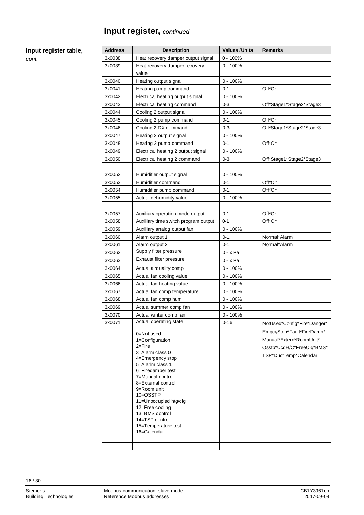#### **Input register table,**

*cont.*

| <b>Address</b>   | <b>Description</b>                                 | <b>Values / Units</b>    | <b>Remarks</b>              |
|------------------|----------------------------------------------------|--------------------------|-----------------------------|
| 3x0038           | Heat recovery damper output signal                 | $0 - 100%$<br>$0 - 100%$ |                             |
| 3x0039           | Heat recovery damper recovery<br>value             |                          |                             |
| 3x0040           | Heating output signal                              | $0 - 100%$               |                             |
| 3x0041           | Heating pump command                               | $0 - 1$                  | Off*On                      |
| 3x0042           | Electrical heating output signal                   | $0 - 100%$               |                             |
| 3x0043           | Electrical heating command                         | $0 - 3$                  | Off*Stage1*Stage2*Stage3    |
| 3x0044           | Cooling 2 output signal                            | $0 - 100%$               |                             |
| 3x0045           | Cooling 2 pump command                             | 0-1                      | Off*On                      |
| 3x0046           | Cooling 2 DX command                               | $0 - 3$                  | Off*Stage1*Stage2*Stage3    |
| 3x0047           | Heating 2 output signal                            | $0 - 100%$               |                             |
| 3x0048           | Heating 2 pump command                             | $0 - 1$                  | Off*On                      |
| 3x0049           | Electrical heating 2 output signal                 | $0 - 100%$               |                             |
| 3x0050           | Electrical heating 2 command                       | $0 - 3$                  | Off*Stage1*Stage2*Stage3    |
|                  |                                                    |                          |                             |
| 3x0052           | Humidifier output signal                           | $0 - 100%$               |                             |
| 3x0053           | Humidifier command                                 | 0-1                      | Off*On                      |
| 3x0054           | Humidifier pump command                            | $0 - 1$                  | Off*On                      |
| 3x0055           | Actual dehumidity value                            | $0 - 100%$               |                             |
|                  |                                                    |                          |                             |
| 3x0057           | Auxiliary operation mode output                    | $0 - 1$                  | Off*On                      |
| 3x0058           | Auxiliary time switch program output               | $0 - 1$                  | Off*On                      |
| 3x0059           | Auxiliary analog output fan                        | $0 - 100%$               |                             |
| 3x0060           | Alarm output 1                                     | 0-1                      | Normal*Alarm                |
| 3x0061           | Alarm output 2<br>Supply filter pressure           | 0-1                      | Normal*Alarm                |
| 3x0062           | Exhaust filter pressure                            | $0 - x$ Pa               |                             |
| 3x0063           |                                                    | $0 - x$ Pa               |                             |
| 3x0064<br>3x0065 | Actual airquality comp<br>Actual fan cooling value | 0 - 100%<br>$0 - 100%$   |                             |
| 3x0066           | Actual fan heating value                           | $0 - 100%$               |                             |
| 3x0067           | Actual fan comp temperature                        | 0 - 100%                 |                             |
| 3x0068           | Actual fan comp hum                                | 0 - 100%                 |                             |
| 3x0069           | Actual summer comp fan                             | $0 - 100%$               |                             |
| 3x0070           | Actual winter comp fan                             | $0 - 100%$               |                             |
| 3x0071           | Actual operating state                             | $0 - 16$                 | NotUsed*Config*Fire*Danger* |
|                  |                                                    |                          |                             |
|                  | 0=Not used                                         |                          | EmgcyStop*Fault*FireDamp*   |
|                  | 1=Configuration<br>2=Fire                          |                          | Manual*Extern*RoomUnit*     |
|                  | 3=Alarm class 0                                    |                          | Osstp*UcdH/C*FreeClg*BMS*   |
|                  | 4=Emergency stop                                   |                          | TSP*DuctTemp*Calendar       |
|                  | 5=Alarlm class 1                                   |                          |                             |
|                  | 6=Firedamper test<br>7=Manual control              |                          |                             |
|                  | 8=External control                                 |                          |                             |
|                  | 9=Room unit                                        |                          |                             |
|                  | 10=OSSTP                                           |                          |                             |
|                  | 11=Unoccupied htg/clg                              |                          |                             |
|                  | 12=Free cooling<br>13=BMS control                  |                          |                             |
|                  | 14=TSP control                                     |                          |                             |
|                  | 15=Temperature test                                |                          |                             |
|                  | 16=Calendar                                        |                          |                             |
|                  |                                                    |                          |                             |
|                  |                                                    |                          |                             |

16 / 30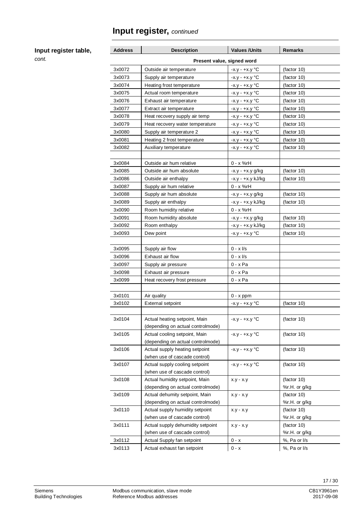#### **Input register table,**

| <b>Address</b>             | <b>Description</b>                | <b>Values / Units</b>   | <b>Remarks</b> |  |  |
|----------------------------|-----------------------------------|-------------------------|----------------|--|--|
| Present value, signed word |                                   |                         |                |  |  |
| 3x0072                     | Outside air temperature           | $-x.y - +x.y$ °C        | (factor 10)    |  |  |
| 3x0073                     | Supply air temperature            | $-x.y - +x.y$ °C        | (factor 10)    |  |  |
| 3x0074                     | Heating frost temperature         | -x.y - +x.y °C          | (factor 10)    |  |  |
| 3x0075                     | Actual room temperature           | $-x.y - +x.y$ °C        | (factor 10)    |  |  |
| 3x0076                     | Exhaust air temperature           | -x.y - +x.y °C          | (factor 10)    |  |  |
| 3x0077                     | Extract air temperature           | $-x.y - +x.y$ °C        | (factor 10)    |  |  |
| 3x0078                     | Heat recovery supply air temp     | $-x.y - +x.y$ °C        | (factor 10)    |  |  |
| 3x0079                     | Heat recovery water temperature   | $-x.y - +x.y$ °C        | (factor 10)    |  |  |
| 3x0080                     | Supply air temperature 2          | -x.y - +x.y °C          | (factor 10)    |  |  |
| 3x0081                     | Heating 2 frost temperature       | $-x.y - +x.y$ °C        | (factor 10)    |  |  |
| 3x0082                     | Auxiliary temperature             | $-x.y - +x.y$ °C        | (factor 10)    |  |  |
|                            |                                   |                         |                |  |  |
| 3x0084                     | Outside air hum relative          | 0 - x %rH               |                |  |  |
| 3x0085                     | Outside air hum absolute          | -x.y - +x.y g/kg        | (factor 10)    |  |  |
| 3x0086                     | Outside air enthalpy              | -x.y - +x.y kJ/kg       | (factor 10)    |  |  |
| 3x0087                     | Supply air hum relative           | 0 - x %rH               |                |  |  |
| 3x0088                     | Supply air hum absolute           | $-x.y - +x.y g/kg$      | (factor 10)    |  |  |
| 3x0089                     | Supply air enthalpy               | -x.y - +x.y kJ/kg       | (factor 10)    |  |  |
| 3x0090                     | Room humidity relative            | $0 - x$ %rH             |                |  |  |
| 3x0091                     | Room humidity absolute            | $-x.y - +x.y g/kg$      | (factor 10)    |  |  |
| 3x0092                     | Room enthalpy                     | -x.y - +x.y kJ/kg       | (factor 10)    |  |  |
| 3x0093                     | Dew point                         | $-x.y - +x.y$ °C        | (factor 10)    |  |  |
|                            |                                   |                         |                |  |  |
| 3x0095                     | Supply air flow                   | $0 - x \frac{1}{s}$     |                |  |  |
| 3x0096                     | Exhaust air flow                  | $0 - x \frac{1}{s}$     |                |  |  |
| 3x0097                     | Supply air pressure               | 0 - x Pa                |                |  |  |
| 3x0098                     | Exhaust air pressure              | $0 - x$ Pa              |                |  |  |
| 3x0099                     | Heat recovery frost pressure      | $0 - x$ Pa              |                |  |  |
|                            |                                   |                         |                |  |  |
| 3x0101                     | Air quality                       | $0 - x$ ppm             |                |  |  |
| 3x0102                     | <b>External setpoint</b>          | $-x.y - +x.y$ °C        | (factor 10)    |  |  |
|                            |                                   |                         |                |  |  |
| 3x0104                     | Actual heating setpoint, Main     | $-x.y - +x.y$ °C        | (factor 10)    |  |  |
|                            | (depending on actual controlmode) |                         |                |  |  |
| 3x0105                     | Actual cooling setpoint, Main     | $-X.y - +X.Y$ °C        | (factor 10)    |  |  |
|                            | (depending on actual controlmode) |                         |                |  |  |
| 3x0106                     | Actual supply heating setpoint    | $-X.y - +X.y \degree C$ | (factor 10)    |  |  |
|                            | (when use of cascade control)     |                         |                |  |  |
| 3x0107                     | Actual supply cooling setpoint    | $-x.y - +x.y$ °C        | (factor 10)    |  |  |
|                            | (when use of cascade control)     |                         |                |  |  |
| 3x0108                     | Actual humidity setpoint, Main    | $x.y - x.y$             | (factor 10)    |  |  |
|                            | (depending on actual controlmode) |                         | %r.H. or g/kg  |  |  |
| 3x0109                     | Actual dehumity setpoint, Main    | $x.y - x.y$             | (factor 10)    |  |  |
|                            | (depending on actual controlmode) |                         | %r.H. or g/kg  |  |  |
| 3x0110                     | Actual supply humidity setpoint   | $x.y - x.y$             | (factor 10)    |  |  |
|                            | (when use of cascade control)     |                         | %r.H. or g/kg  |  |  |
| 3x0111                     | Actual supply dehumidity setpoint | $x.y - x.y$             | (factor 10)    |  |  |
|                            | (when use of cascade control)     |                         | %r.H. or g/kg  |  |  |
| 3x0112                     | Actual Supply fan setpoint        | $0 - x$                 | %, Pa or I/s   |  |  |
| 3x0113                     | Actual exhaust fan setpoint       | $0 - x$                 | %, Pa or I/s   |  |  |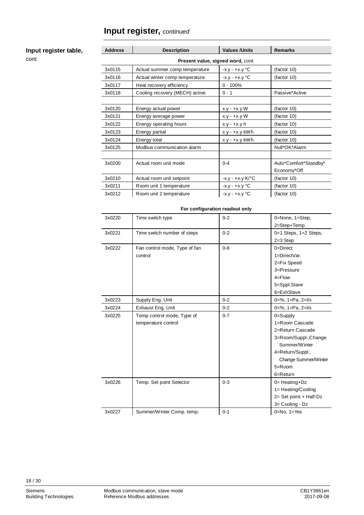#### **Input register table,**

*cont.*

| <b>Address</b>                    | <b>Description</b>             | <b>Values /Units</b>    | <b>Remarks</b>        |  |  |
|-----------------------------------|--------------------------------|-------------------------|-----------------------|--|--|
| Present value, signed word, cont. |                                |                         |                       |  |  |
| 3x0115                            | Actual summer comp temperature | $-x.y - +x.y \degree C$ | (factor 10)           |  |  |
| 3x0116                            | Actual winter comp temperature | $-x.y - +x.y \degree C$ | (factor 10)           |  |  |
| 3x0117                            | Heat recovery efficiency       | $0 - 100%$              |                       |  |  |
| 3x0118                            | Cooling recovery (MECH) active | $0 - 1$                 | Passive*Active        |  |  |
|                                   |                                |                         |                       |  |  |
| 3x0120                            | Energy actual power            | $x.y - +x.y W$          | (factor 10)           |  |  |
| 3x0121                            | Energy average power           | $x.y - +x.y W$          | (factor 10)           |  |  |
| 3x0122                            | Energy operating hours         | $x.y - +x.y h$          | (factor 10)           |  |  |
| 3x0123                            | Energy partial                 | $x.y - +x.y$ kWh        | (factor 10)           |  |  |
| 3x0124                            | Energy total                   | $x.y - +x.y$ kWh        | (factor 10)           |  |  |
| 3x0125                            | Modbus communication alarm     |                         | Null*OK*Alarm         |  |  |
|                                   |                                |                         |                       |  |  |
| 3x0200                            | Actual room unit mode          | $0 - 4$                 | Auto*Comfort*Standby* |  |  |
|                                   |                                |                         | Economy*Off           |  |  |
| 3x0210                            | Actual room unit setpoint      | -x.y - +x.y K/°C        | (factor 10)           |  |  |
| 3x0211                            | Room unit 1 temperature        | $-x.y - +x.y \degree C$ | (factor 10)           |  |  |
| 3x0212                            | Room unit 2 temperature        | $-x.y - +x.y \degree C$ | (factor 10)           |  |  |

#### **For configuration readout only**

| 3x0220 | Time switch type              | $0 - 2$ | 0=None, 1=Step,           |
|--------|-------------------------------|---------|---------------------------|
|        |                               |         | 2=Step+Temp               |
| 3x0221 | Time switch number of steps   | $0 - 2$ | $0=1$ Steps, $1=2$ Steps, |
|        |                               |         | $2=3$ Step                |
| 3x0222 | Fan control mode, Type of fan | $0 - 6$ | $0 =$ Direct              |
|        | control                       |         | 1=DirectVar.              |
|        |                               |         | 2=Fix Speed               |
|        |                               |         | 3=Pressure                |
|        |                               |         | $4 =$ Flow                |
|        |                               |         | 5=Sppl.Slave              |
|        |                               |         | 6=ExhSlave                |
| 3x0223 | Supply Eng. Unit              | $0 - 2$ | $0=%$ , 1=Pa, 2= $1/s$    |
| 3x0224 | Exhaust Eng. Unit             | $0 - 2$ | $0=%$ , 1=Pa, 2= $1/s$    |
| 3x0225 | Temp control mode, Type of    | $0 - 7$ | $0 =$ Supply              |
|        | temperature control           |         | 1=Room Cascade            |
|        |                               |         | 2=Return Cascade          |
|        |                               |         | 3=Room/Suppl., Change     |
|        |                               |         | Summer/Winter             |
|        |                               |         | 4=Return/Suppl.,          |
|        |                               |         | Change Summer/Winter      |
|        |                               |         | $5 =$ Room                |
|        |                               |         | $6 =$ Return              |
| 3x0226 | Temp. Set point Selector      | $0 - 3$ | $0=$ Heating+Dz           |
|        |                               |         | 1= Heating/Cooling        |
|        |                               |         | 2= Set point + Half-Dz    |
|        |                               |         | 3= Cooling - Dz           |
| 3x0227 | Summer/Winter Comp. temp.     | $0 - 1$ | $0=No, 1=Yes$             |
|        |                               |         |                           |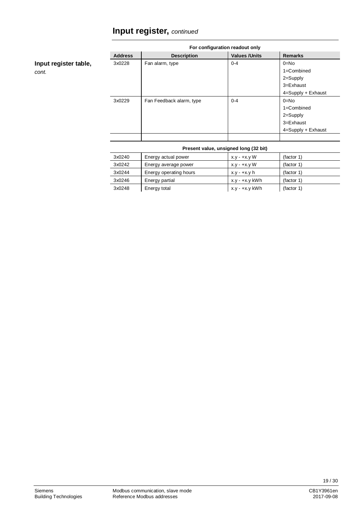| For configuration readout only |                          |                      |                        |
|--------------------------------|--------------------------|----------------------|------------------------|
| <b>Address</b>                 | <b>Description</b>       | <b>Values /Units</b> | <b>Remarks</b>         |
| 3x0228                         | Fan alarm, type          | $0 - 4$              | $0=No$                 |
|                                |                          |                      | $1 =$ Combined         |
|                                |                          |                      | 2=Supply               |
|                                |                          |                      | $3 = Exhaust$          |
|                                |                          |                      | $4 =$ Supply + Exhaust |
| 3x0229                         | Fan Feedback alarm, type | $0 - 4$              | $0=No$                 |
|                                |                          |                      | $1 =$ Combined         |
|                                |                          |                      | 2=Supply               |
|                                |                          |                      | $3 = Exhaust$          |
|                                |                          |                      | $4 =$ Supply + Exhaust |
|                                |                          |                      |                        |

#### **Present value, unsigned long (32 bit)**

| 3x0240 | Energy actual power    | $x.y - +x.y W$ | (factor 1) |
|--------|------------------------|----------------|------------|
| 3x0242 | Energy average power   | $x.y - +x.y W$ | (factor 1) |
| 3x0244 | Energy operating hours | $x.y - +x.y h$ | (factor 1) |
| 3x0246 | Energy partial         | x.y - +x.y kWh | (factor 1) |
| 3x0248 | Energy total           | x.y - +x.y kWh | (factor 1) |

**Input register table,**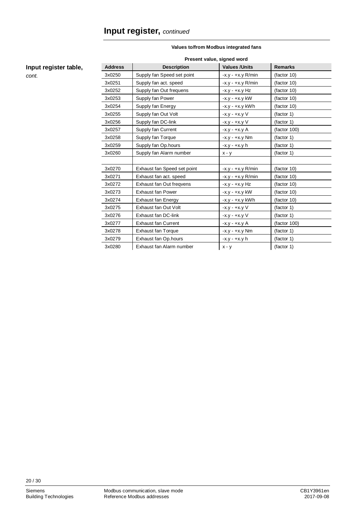| Present value, signed word |                             |                       |                |  |
|----------------------------|-----------------------------|-----------------------|----------------|--|
| <b>Address</b>             | <b>Description</b>          | <b>Values / Units</b> | <b>Remarks</b> |  |
| 3x0250                     | Supply fan Speed set point  | $-x.y - +x.y R/min$   | (factor 10)    |  |
| 3x0251                     | Supply fan act. speed       | $-x.y - +x.y R/min$   | (factor 10)    |  |
| 3x0252                     | Supply fan Out frequens     | -x.y - +x.y Hz        | (factor 10)    |  |
| 3x0253                     | Supply fan Power            | $-x.y - +x.y$ kW      | (factor 10)    |  |
| 3x0254                     | Supply fan Energy           | $-x.y - +x.y$ kWh     | (factor 10)    |  |
| 3x0255                     | Supply fan Out Volt         | $-x.y - +x.y V$       | (factor 1)     |  |
| 3x0256                     | Supply fan DC-link          | -x.y - +x.y V         | (factor 1)     |  |
| 3x0257                     | Supply fan Current          | -x.y - +x.y A         | (factor 100)   |  |
| 3x0258                     | Supply fan Torque           | $-x.y - +x.y Nm$      | (factor 1)     |  |
| 3x0259                     | Supply fan Op.hours         | $-x.y - +x.y h$       | (factor 1)     |  |
| 3x0260                     | Supply fan Alarm number     | $x - y$               | (factor 1)     |  |
|                            |                             |                       |                |  |
| 3x0270                     | Exhaust fan Speed set point | $-x.y - +x.y R/min$   | (factor 10)    |  |
| 3x0271                     | Exhaust fan act. speed      | $-x.y - +x.y R/min$   | (factor 10)    |  |
| 3x0272                     | Exhaust fan Out freqvens    | -x.y - +x.y Hz        | (factor 10)    |  |
| 3x0273                     | <b>Exhaust fan Power</b>    | $-x.y - +x.y$ kW      | (factor 10)    |  |
| 3x0274                     | Exhaust fan Energy          | -x.y - +x.y kWh       | (factor 10)    |  |
| 3x0275                     | Exhaust fan Out Volt        | $-x.y - +x.y V$       | (factor 1)     |  |
| 3x0276                     | Exhaust fan DC-link         | -x.y - +x.y V         | (factor 1)     |  |
| 3x0277                     | <b>Exhaust fan Current</b>  | -x.y - +x.y A         | (factor 100)   |  |
| 3x0278                     | <b>Exhaust fan Torque</b>   | $-x.y - +x.y Nm$      | (factor 1)     |  |
| 3x0279                     | Exhaust fan Op. hours       | $-x.y - +x.y h$       | (factor 1)     |  |
| 3x0280                     | Exhaust fan Alarm number    | $x - y$               | (factor 1)     |  |

#### **Values to/from Modbus integrated fans**

#### **Input register table,**

*cont.*

20 / 30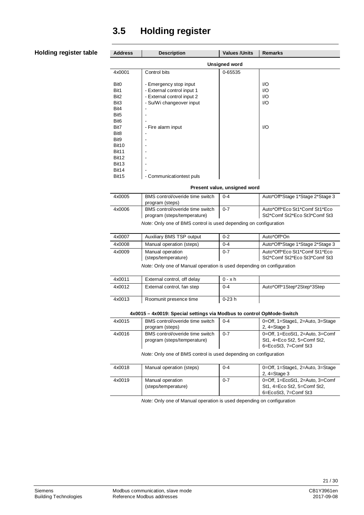### <span id="page-20-0"></span>**3.5 Holding register**

#### **Holding register table**

Ĭ.  $\overline{a}$ 

 $\overline{\phantom{0}}$ 

| <b>Address</b>    | <b>Description</b>         | <b>Values / Units</b> | <b>Remarks</b> |  |  |  |
|-------------------|----------------------------|-----------------------|----------------|--|--|--|
|                   | <b>Unsigned word</b>       |                       |                |  |  |  |
| 4x0001            | Control bits               | 0-65535               |                |  |  |  |
|                   |                            |                       |                |  |  |  |
| Bit <sub>0</sub>  | - Emergency stop input     |                       | I/O            |  |  |  |
| Bit1              | - External control input 1 |                       | I/O            |  |  |  |
| Bit <sub>2</sub>  | - External control input 2 |                       | 1/O            |  |  |  |
| Bit <sub>3</sub>  | - Su/Wi changeover input   |                       | 1/O            |  |  |  |
| Bit4              |                            |                       |                |  |  |  |
| Bit <sub>5</sub>  |                            |                       |                |  |  |  |
| Bit <sub>6</sub>  |                            |                       |                |  |  |  |
| Bit7              | - Fire alarm input         |                       | 1/O            |  |  |  |
| Bit <sub>8</sub>  |                            |                       |                |  |  |  |
| Bit9              |                            |                       |                |  |  |  |
| Bit10             |                            |                       |                |  |  |  |
| Bit11             |                            |                       |                |  |  |  |
| Bit12             |                            |                       |                |  |  |  |
| Bit <sub>13</sub> |                            |                       |                |  |  |  |
| Bit14             |                            |                       |                |  |  |  |
| Bit15             | - Communicationtest puls   |                       |                |  |  |  |

**Present value, unsigned word**

| 4x0005 | BMS control/overide time switch<br>program (steps)             | $0 - 4$ | Auto*Off*Stage 1*Stage 2*Stage 3                               |
|--------|----------------------------------------------------------------|---------|----------------------------------------------------------------|
| 4x0006 | BMS control/overide time switch<br>program (steps/temperature) | $0 - 7$ | Auto*Off*Eco St1*Comf St1*Eco<br>St2*Comf St2*Eco St3*Comf St3 |

*Note:* Only one of BMS control is used depending on configuration

| 4x0007                                                                                   | Auxiliary BMS TSP output                | $0 - 2$ | Auto*Off*On                                                    |
|------------------------------------------------------------------------------------------|-----------------------------------------|---------|----------------------------------------------------------------|
| 4x0008                                                                                   | Manual operation (steps)                | $0 - 4$ | Auto*Off*Stage 1*Stage 2*Stage 3                               |
| 4x0009                                                                                   | Manual operation<br>(steps/temperature) | $0 - 7$ | Auto*Off*Eco St1*Comf St1*Eco<br>St2*Comf St2*Eco St3*Comf St3 |
| المتحافظ والمستحدث والمستحدث والمستحار والمتحافظ والمستحاف المستحدث والمتحالية والمتحافظ |                                         |         |                                                                |

*Note:* Only one of Manual operation is used depending on configuration

| 4x0011 | External control, off delay | $0 - x h$ |                            |
|--------|-----------------------------|-----------|----------------------------|
| 4x0012 | External control, fan step  | $0 - 4$   | Auto*Off*1Step*2Step*3Step |
| 4x0013 | Roomunit presence time      | 0-23 h    |                            |

#### **4x0015 – 4x0019: Special settings via Modbus to control OpMode-Switch**

| 4x0015                                                           | BMS control/overide time switch<br>program (steps)             | $0 - 4$ | 0=Off, 1=Stage1, 2=Auto, 3=Stage<br>2, $4 =$ Stage 3                                   |
|------------------------------------------------------------------|----------------------------------------------------------------|---------|----------------------------------------------------------------------------------------|
| 4x0016                                                           | BMS control/overide time switch<br>program (steps/temperature) | $0 - 7$ | 0=Off, 1=EcoSt1, 2=Auto, 3=Comf<br>St1, 4=Eco St2, 5=Comf St2,<br>6=EcoSt3, 7=Comf St3 |
| Note: Only one of BMS control is used depending on configuration |                                                                |         |                                                                                        |

| 4x0018 | Manual operation (steps) | $0 - 4$ | 0=Off, 1=Stage1, 2=Auto, 3=Stage |
|--------|--------------------------|---------|----------------------------------|
|        |                          |         | 2. $4 =$ Stage 3                 |
| 4x0019 | Manual operation         | $0 - 7$ | 0=Off, 1=EcoSt1, 2=Auto, 3=Comf  |
|        | (steps/temperature)      |         | St1, 4=Eco St2, 5=Comf St2,      |
|        |                          |         | 6=EcoSt3. 7=Comf St3             |

*Note:* Only one of Manual operation is used depending on configuration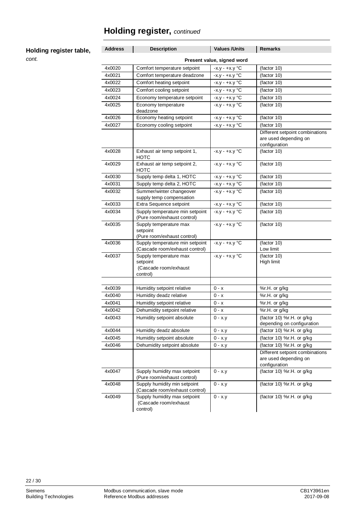#### **Holding register table,**

*cont.*

| <b>Address</b>             | <b>Description</b>                                                      | <b>Values /Units</b>    | <b>Remarks</b>                                                            |  |
|----------------------------|-------------------------------------------------------------------------|-------------------------|---------------------------------------------------------------------------|--|
| Present value, signed word |                                                                         |                         |                                                                           |  |
| 4x0020                     | Comfort temperature setpoint                                            | $-x.y - +x.y$ °C        | (factor 10)                                                               |  |
| 4x0021                     | Comfort temperature deadzone                                            | $-x.y - +x.y$ °C        | (factor 10)                                                               |  |
| 4x0022                     | Comfort heating setpoint                                                | $-x.y - +x.y$ °C        | (factor 10)                                                               |  |
| 4x0023                     | Comfort cooling setpoint                                                | $-x.y - +x.y$ °C        | (factor 10)                                                               |  |
| 4x0024                     | Economy temperature setpoint                                            | $-x.y - +x.y$ °C        | (factor 10)                                                               |  |
| 4x0025                     | Economy temperature<br>deadzone                                         | $-x.y - +x.y$ °C        | (factor 10)                                                               |  |
| 4x0026                     | Economy heating setpoint                                                | $-x.y - +x.y$ °C        | (factor 10)                                                               |  |
| 4x0027                     | Economy cooling setpoint                                                | $-x.y - +x.y$ °C        | (factor 10)                                                               |  |
|                            |                                                                         |                         | Different setpoint combinations<br>are used depending on<br>configuration |  |
| 4x0028                     | Exhaust air temp setpoint 1,<br><b>HOTC</b>                             | $-x.y - +x.y$ °C        | (factor 10)                                                               |  |
| 4x0029                     | Exhaust air temp setpoint 2,<br><b>HOTC</b>                             | $-X.y - +X.Y$ °C        | (factor 10)                                                               |  |
| 4x0030                     | Supply temp delta 1, HOTC                                               | $-x.y - +x.y$ °C        | (factor 10)                                                               |  |
| 4x0031                     | Supply temp delta 2, HOTC                                               | $-x.y - +x.y$ °C        | (factor 10)                                                               |  |
| 4x0032                     | Summer/winter changeover<br>supply temp compensation                    | $-x.y - +x.y$ °C        | (factor 10)                                                               |  |
| 4x0033                     | Extra Sequence setpoint                                                 | $-x.y - +x.y$ °C        | (factor 10)                                                               |  |
| 4x0034                     | Supply temperature min setpoint<br>(Pure room/exhaust control)          | $-x.y - +x.y$ °C        | (factor 10)                                                               |  |
| 4x0035                     | Supply temperature max<br>setpoint<br>(Pure room/exhaust control)       | $-x.y - +x.y \degree C$ | (factor 10)                                                               |  |
| 4x0036                     | Supply temperature min setpoint<br>(Cascade room/exhaust control)       | $-x.y - +x.y$ °C        | (factor 10)<br>Low limit                                                  |  |
| 4x0037                     | Supply temperature max<br>setpoint<br>(Cascade room/exhaust<br>control) | $-x.y - +x.y \degree C$ | (factor 10)<br>High limit                                                 |  |
| 4x0039                     | Humidity setpoint relative                                              | 0 - x                   | %r.H. or g/kg                                                             |  |
| 4x0040                     | Humidity deadz relative                                                 | $0 - x$                 | %r.H. or g/kg                                                             |  |
| 4x0041                     | Humidity setpoint relative                                              | $0 - x$                 |                                                                           |  |
| 4x0042                     | Dehumidity setpoint relative                                            | $0 - x$                 | %r.H. or g/kg                                                             |  |
| 4x0043                     | Humidity setpoint absolute                                              | 0 - x.y                 | %r.H. or g/kg<br>(factor 10) %r.H. or g/kg                                |  |
|                            |                                                                         |                         | depending on configuration                                                |  |
| 4x0044                     | Humidity deadz absolute                                                 | $0 - x.y$               | (factor 10) %r.H. or g/kg                                                 |  |
| 4x0045                     | Humidity setpoint absolute                                              | $0 - x.y$               | (factor 10) %r.H. or g/kg                                                 |  |
| 4x0046                     | Dehumidity setpoint absolute                                            | $0 - x.y$               | (factor 10) %r.H. or g/kg                                                 |  |
|                            |                                                                         |                         | Different setpoint combinations<br>are used depending on<br>configuration |  |
| 4x0047                     | Supply humidity max setpoint<br>(Pure room/exhaust control)             | $0 - x.y$               | (factor 10) %r.H. or g/kg                                                 |  |
| 4x0048                     | Supply humidity min setpoint<br>(Cascade room/exhaust control)          | $0 - x.y$               | (factor 10) %r.H. or g/kg                                                 |  |
| 4x0049                     | Supply humidity max setpoint<br>(Cascade room/exhaust<br>control)       | $0 - x.y$               | (factor 10) %r.H. or g/kg                                                 |  |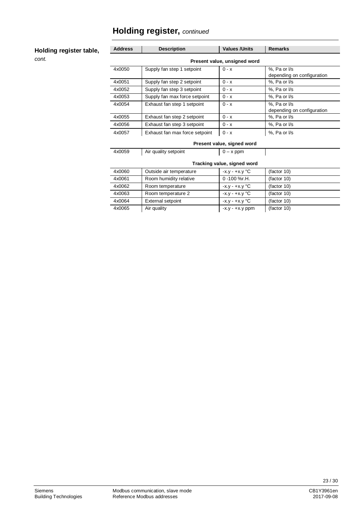#### **Holding register table,**

*cont.*

| <b>Address</b>              | <b>Description</b>             | <b>Values /Units</b>       | <b>Remarks</b>                             |  |  |
|-----------------------------|--------------------------------|----------------------------|--------------------------------------------|--|--|
|                             | Present value, unsigned word   |                            |                                            |  |  |
| 4x0050                      | Supply fan step 1 setpoint     | $0 - x$                    | %, Pa or I/s<br>depending on configuration |  |  |
| 4x0051                      | Supply fan step 2 setpoint     | $0 - x$                    | %, Pa or I/s                               |  |  |
| 4x0052                      | Supply fan step 3 setpoint     | $0 - x$                    | %, Pa or I/s                               |  |  |
| 4x0053                      | Supply fan max force setpoint  | $0 - x$                    | %, Pa or I/s                               |  |  |
| 4x0054                      | Exhaust fan step 1 setpoint    | $0 - x$                    | %, Pa or I/s<br>depending on configuration |  |  |
| 4x0055                      | Exhaust fan step 2 setpoint    | $0 - x$                    | %, Pa or I/s                               |  |  |
| 4x0056                      | Exhaust fan step 3 setpoint    | $0 - x$                    | %, Pa or I/s                               |  |  |
| 4x0057                      | Exhaust fan max force setpoint | $0 - x$                    | %, Pa or I/s                               |  |  |
|                             |                                | Present value, signed word |                                            |  |  |
| 4x0059                      | Air quality setpoint           | $0 - x$ ppm                |                                            |  |  |
| Tracking value, signed word |                                |                            |                                            |  |  |
| 4x0060                      | Outside air temperature        | $-x.y - +x.y \degree C$    | (factor 10)                                |  |  |
| 4x0061                      | Room humidity relative         | 0 -100 %r.H.               | (factor 10)                                |  |  |
| 4x0062                      | Room temperature               | $-x.y - +x.y \degree C$    | (factor 10)                                |  |  |

4x0063 Room temperature 2 -x.y - +x.y °C (factor 10) 4x0064 External setpoint -x.y - +x.y °C (factor 10) 4x0065 Air quality -x.y - +x.y ppm (factor 10)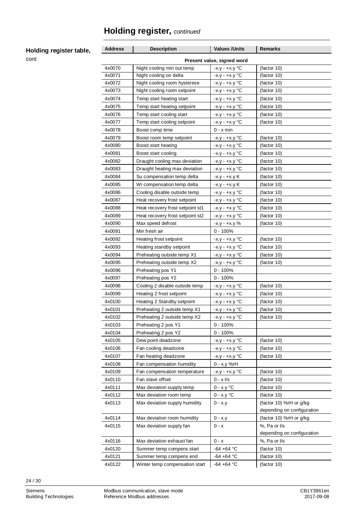#### **Holding register table,**

*cont.*

| <b>Address</b>             | <b>Description</b>               | <b>Values / Units</b>   | Remarks                    |
|----------------------------|----------------------------------|-------------------------|----------------------------|
| Present value, signed word |                                  |                         |                            |
| 4x0070                     | Night cooling min out temp       | $-x.y - +x.y \degree C$ | (factor 10)                |
| 4x0071                     | Night cooling on delta           | $-x.y - +x.y$ °C        | (factor 10)                |
| 4x0072                     | Night cooling room hysterese     | $-x.y - +x.y \degree C$ | (factor 10)                |
| 4x0073                     | Night cooling room setpoint      | $-x.y - +x.y$ °C        | (factor 10)                |
| 4x0074                     | Temp start heating start         | $-x.y - +x.y$ °C        | (factor 10)                |
| 4x0075                     | Temp start heating setpoint      | $-x.y - +x.y$ °C        | (factor 10)                |
| 4x0076                     | Temp start cooling start         | $-x.y - +x.y$ °C        | (factor 10)                |
| 4x0077                     | Temp start cooling setpoint      | $-x.y - +x.y$ °C        | (factor 10)                |
| 4x0078                     | Boost comp time                  | 0 - x min               |                            |
| 4x0079                     | Boost room temp setpoint         | $-x.y - +x.y$ °C        | (factor 10)                |
| 4x0080                     | Boost start heating              | $-x.y - +x.y$ °C        | (factor 10)                |
| 4x0081                     | Boost start cooling              | $-x.y - +x.y$ °C        | (factor 10)                |
| 4x0082                     | Draught cooling max deviation    | $-x.y - +x.y$ °C        | (factor 10)                |
| 4x0083                     | Draught heating max deviation    | $-x.y - +x.y$ °C        | (factor 10)                |
| 4x0084                     | Su compensation temp delta       | -x.y - +x.y K           | (factor 10)                |
| 4x0085                     | Wi compensation temp delta       | -x.y - +x.y K           | (factor 10)                |
| 4x0086                     | Cooling disable outside temp     | $-x.y - +x.y$ °C        | (factor 10)                |
| 4x0087                     | Heat recovery frost setpoint     | $-x.y - +x.y$ °C        | (factor 10)                |
| 4x0088                     | Heat recovery frost setpoint st1 | $-x.y - +x.y$ °C        | (factor 10)                |
| 4x0089                     | Heat recovery frost setpoint st2 | $-x.y - +x.y$ °C        | (factor 10)                |
| 4x0090                     | Max speed defrost                | $-x.y - +x.y \%$        | (factor 10)                |
| 4x0091                     | Min fresh air                    | $0 - 100%$              |                            |
| 4x0092                     | Heating frost setpoint           | $-x.y - +x.y$ °C        | (factor 10)                |
| 4x0093                     | Heating standby setpoint         | $-x.y - +x.y$ °C        | (factor 10)                |
| 4x0094                     | Preheating outside temp X1       | $-x.y - +x.y$ °C        | (factor 10)                |
| 4x0095                     | Preheating outside temp X2       | $-x.y - +x.y$ °C        | (factor 10)                |
| 4x0096                     | Preheating pos Y1                | $0 - 100%$              |                            |
| 4x0097                     | Preheating pos Y2                | $0 - 100%$              |                            |
| 4x0098                     | Cooling 2 disable outside temp   | $-x.y - +x.y$ °C        | (factor 10)                |
| 4x0099                     | Heating 2 frost setpoint         | $-x.y - +x.y$ °C        | (factor 10)                |
| 4x0100                     | Heating 2 Standby setpoint       | $-x.y - +x.y$ °C        | (factor 10)                |
| 4x0101                     | Preheating 2 outside temp X1     | $-x.y - +x.y$ °C        | (factor 10)                |
| 4x0102                     | Preheating 2 outside temp X2     | $-X.y - +X.Y$ °C        | (factor 10)                |
| 4x0103                     | Preheating 2 pos Y1              | $0 - 100%$              |                            |
| 4x0104                     | Preheating 2 pos Y2              | $0 - 100%$              |                            |
| 4x0105                     | Dew point deadzone               | $-x.y - +x.y$ °C        | (factor 10)                |
| 4x0106                     | Fan cooling deadzone             | $-x.y - +x.y$ °C        | (factor 10)                |
| 4x0107                     | Fan heating deadzone             | $-x.y - +x.y$ °C        | (factor 10)                |
| 4x0108                     | Fan compensation humidity        | 0 - x.y %rH             |                            |
| 4x0109                     | Fan compensation temperature     | $-x.y - +x.y \degree C$ | (factor 10)                |
| 4x0110                     | Fan slave offset                 | $0 - x \frac{1}{s}$     | (factor 10)                |
| 4x0111                     | Max deviation supply temp        | $0 - x.y$ °C            | (factor 10)                |
| 4x0112                     | Max deviation room temp          | $0 - x.y$ °C            | (factor 10)                |
| 4x0113                     | Max deviation supply humidity    | $0 - x.y$               | (factor 10) %rH or g/kg    |
|                            |                                  |                         | depending on configuration |
| 4x0114                     | Max deviation room humidity      | $0 - x.y$               | (factor 10) %rH or g/kg    |
| 4x0115                     | Max deviation supply fan         | $0 - x$                 | %, Pa or I/s               |
|                            |                                  |                         | depending on configuration |
| 4x0116                     | Max deviation exhaust fan        | $0 - x$                 | %, Pa or I/s               |
| 4x0120                     | Summer temp compens start        | $-64 + 64$ °C           | (factor 10)                |
| 4x0121                     | Summer temp compens end          | $-64 + 64$ °C           | (factor 10)                |
| 4x0122                     | Winter temp compensation start   | $-64 + 64$ °C           | (factor 10)                |

24 / 30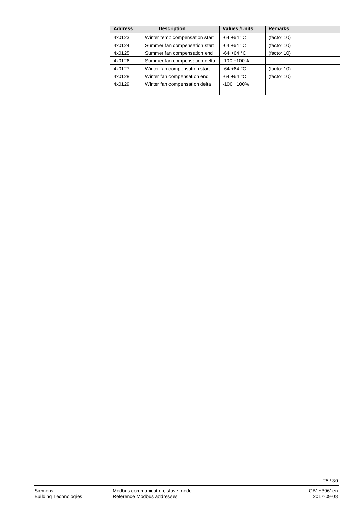| <b>Address</b> | <b>Description</b>             | <b>Values /Units</b> | <b>Remarks</b> |
|----------------|--------------------------------|----------------------|----------------|
| 4x0123         | Winter temp compensation start | $-64 + 64 °C$        | (factor 10)    |
| 4x0124         | Summer fan compensation start  | $-64 + 64 °C$        | (factor 10)    |
| 4x0125         | Summer fan compensation end    | $-64 + 64 °C$        | (factor 10)    |
| 4x0126         | Summer fan compensation delta  | $-100 + 100%$        |                |
| 4x0127         | Winter fan compensation start  | $-64 + 64 °C$        | (factor 10)    |
| 4x0128         | Winter fan compensation end    | $-64 + 64 °C$        | (factor 10)    |
| 4x0129         | Winter fan compensation delta  | $-100 + 100%$        |                |
|                |                                |                      |                |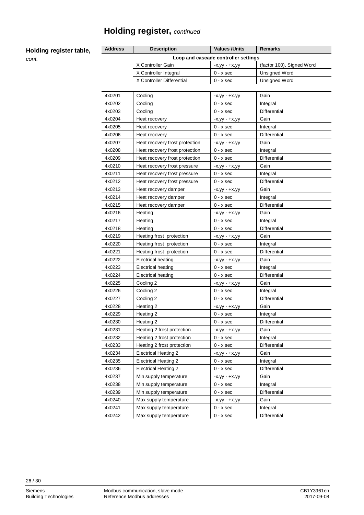**Holding register table,**

| Address | <b>Description</b>             | <b>Values /Units</b>                 | Remarks                   |  |
|---------|--------------------------------|--------------------------------------|---------------------------|--|
|         |                                | Loop and cascade controller settings |                           |  |
|         | X Controller Gain              | -x.yy - +x.yy                        | (factor 100), Signed Word |  |
|         | X Controller Integral          | $0 - x$ sec                          | Unsigned Word             |  |
|         | X Controller Differential      | $0 - x$ sec                          | Unsigned Word             |  |
| 4x0201  | Cooling                        | -х.уу - +х.уу                        | Gain                      |  |
| 4x0202  | Cooling                        | $0 - x$ sec                          | Integral                  |  |
| 4x0203  | Cooling                        | $0 - x$ sec                          | Differential              |  |
| 4x0204  | Heat recovery                  | -х.уу - +х.уу                        | Gain                      |  |
| 4x0205  | Heat recovery                  | $0 - x$ sec                          | Integral                  |  |
| 4x0206  | Heat recovery                  | $0 - x$ sec                          | Differential              |  |
| 4x0207  | Heat recovery frost protection | -х.уу - +х.уу                        | Gain                      |  |
| 4x0208  | Heat recovery frost protection | $0 - x$ sec                          | Integral                  |  |
| 4x0209  | Heat recovery frost protection | $0 - x$ sec                          | Differential              |  |
| 4x0210  | Heat recovery frost pressure   | -х.уу - +х.уу                        | Gain                      |  |
| 4x0211  | Heat recovery frost pressure   | $0 - x$ sec                          | Integral                  |  |
| 4x0212  | Heat recovery frost pressure   | $0 - x$ sec                          | Differential              |  |
| 4x0213  | Heat recovery damper           | -x.yy - +x.yy                        | Gain                      |  |
| 4x0214  | Heat recovery damper           | $0 - x$ sec                          | Integral                  |  |
| 4x0215  | Heat recovery damper           | $0 - x$ sec                          | Differential              |  |
| 4x0216  | Heating                        | -x.yy - +x.yy                        | Gain                      |  |
| 4x0217  | Heating                        | $0 - x$ sec                          | Integral                  |  |
| 4x0218  | Heating                        | $0 - x$ sec                          | Differential              |  |
| 4x0219  | Heating frost protection       | -х.уу - +х.уу                        | Gain                      |  |
| 4x0220  | Heating frost protection       | $0 - x$ sec                          | Integral                  |  |
| 4x0221  | Heating frost protection       | $0 - x$ sec                          | Differential              |  |
| 4x0222  | <b>Electrical heating</b>      | -x.yy - +x.yy                        | Gain                      |  |
| 4x0223  | <b>Electrical heating</b>      | $0 - x$ sec                          | Integral                  |  |
| 4x0224  | Electrical heating             | $0 - x$ sec                          | Differential              |  |
| 4x0225  | Cooling 2                      | -х.уу - +х.уу                        | Gain                      |  |
| 4x0226  | Cooling 2                      | $0 - x$ sec                          | Integral                  |  |
| 4x0227  | Cooling 2                      | $0 - x$ sec                          | Differential              |  |
| 4x0228  | Heating 2                      | -х.уу - +х.уу                        | Gain                      |  |
| 4x0229  | Heating 2                      | $0 - x$ sec                          | Integral                  |  |
| 4x0230  | Heating 2                      | $0 - x$ sec                          | Differential              |  |
| 4x0231  | Heating 2 frost protection     | -x.yy - +x.yy                        | Gain                      |  |
| 4x0232  | Heating 2 frost protection     | $0 - x$ sec                          | Integral                  |  |
| 4x0233  | Heating 2 frost protection     | $0 - x$ sec                          | Differential              |  |
| 4x0234  | <b>Electrical Heating 2</b>    | -x.yy - +x.yy                        | Gain                      |  |
| 4x0235  | <b>Electrical Heating 2</b>    | $0 - x$ sec                          | Integral                  |  |
| 4x0236  | <b>Electrical Heating 2</b>    | $0 - x$ sec                          | Differential              |  |
| 4x0237  | Min supply temperature         | -x.yy - +x.yy                        | Gain                      |  |
| 4x0238  | Min supply temperature         | $0 - x$ sec                          | Integral                  |  |
| 4x0239  | Min supply temperature         | $0 - x$ sec                          | Differential              |  |
| 4x0240  | Max supply temperature         | -x.yy - +x.yy                        | Gain                      |  |
| 4x0241  | Max supply temperature         | $0 - x$ sec                          | Integral                  |  |
| 4x0242  | Max supply temperature         | $0 - x$ sec                          | Differential              |  |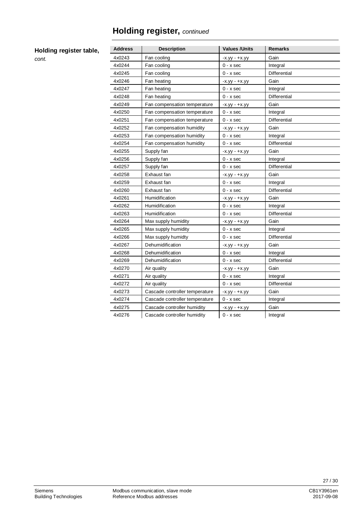#### **Holding register table,**

| <b>Address</b> | <b>Description</b>             | <b>Values / Units</b> | <b>Remarks</b>      |  |
|----------------|--------------------------------|-----------------------|---------------------|--|
| 4x0243         | Fan cooling                    | $-X.$ yy $- +X.$ yy   | Gain                |  |
| 4x0244         | Fan cooling                    | $0 - x$ sec           | Integral            |  |
| 4x0245         | Fan cooling                    | $0 - x$ sec           | <b>Differential</b> |  |
| 4x0246         | Fan heating                    | -x.yy - +x.yy         | Gain                |  |
| 4x0247         | Fan heating                    | $0 - x$ sec           | Integral            |  |
| 4x0248         | Fan heating                    | $0 - x$ sec           | <b>Differential</b> |  |
| 4x0249         | Fan compensation temperature   | -x.yy - +x.yy         | Gain                |  |
| 4x0250         | Fan compensation temperature   | $0 - x$ sec           | Integral            |  |
| 4x0251         | Fan compensation temperature   | $0 - x$ sec           | Differential        |  |
| 4x0252         | Fan compensation humidity      | $-X.$ yy $- +X.$ yy   | Gain                |  |
| 4x0253         | Fan compensation humidity      | $0 - x$ sec           | Integral            |  |
| 4x0254         | Fan compensation humidity      | $0 - x$ sec           | <b>Differential</b> |  |
| 4x0255         | Supply fan                     | $-x.$ yy - $+x.$ yy   | Gain                |  |
| 4x0256         | Supply fan                     | $0 - x$ sec           | Integral            |  |
| 4x0257         | Supply fan                     | $0 - x$ sec           | Differential        |  |
| 4x0258         | Exhaust fan                    | -x.yy - +x.yy         | Gain                |  |
| 4x0259         | Exhaust fan                    | $0 - x$ sec           | Integral            |  |
| 4x0260         | Exhaust fan                    | $0 - x$ sec           | Differential        |  |
| 4x0261         | Humidification                 | -x.yy - +x.yy         | Gain                |  |
| 4x0262         | Humidification                 | $0 - x$ sec           | Integral            |  |
| 4x0263         | Humidification                 | $0 - x$ sec           | Differential        |  |
| 4x0264         | Max supply humidity            | $-X.$ yy $- +X.$ yy   | Gain                |  |
| 4x0265         | Max supply humidity            | $0 - x$ sec           | Integral            |  |
| 4x0266         | Max supply humidty             | $0 - x$ sec           | Differential        |  |
| 4x0267         | Dehumidification               | $-x.yy - +x.yy$       | Gain                |  |
| 4x0268         | Dehumidification               | $0 - x$ sec           | Integral            |  |
| 4x0269         | Dehumidification               | $0 - x$ sec           | <b>Differential</b> |  |
| 4x0270         | Air quality                    | -x.yy - +x.yy         | Gain                |  |
| 4x0271         | Air quality                    | $0 - x$ sec           | Integral            |  |
| 4x0272         | Air quality                    | $0 - x$ sec           | Differential        |  |
| 4x0273         | Cascade controller temperature | -x.yy - +x.yy         | Gain                |  |
| 4x0274         | Cascade controller temperature | $0 - x$ sec           | Integral            |  |
| 4x0275         | Cascade controller humidity    | -x.yy - +x.yy         | Gain                |  |
| 4x0276         | Cascade controller humidity    | $0 - x$ sec           | Integral            |  |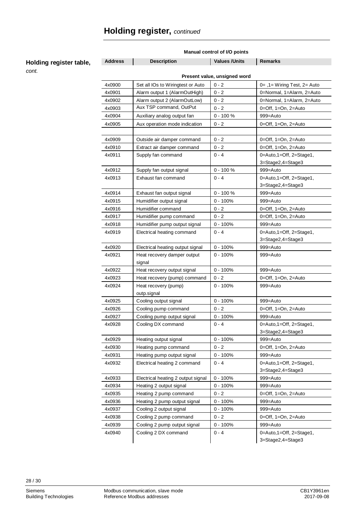| <b>Description</b><br><b>Values / Units</b><br><b>Remarks</b><br><b>Address</b><br>Holding register table,<br>cont.<br>Present value, unsigned word<br>4x0900<br>$0 - 2$<br>Set all IOs to Wiringtest or Auto<br>0= $,1 =$ Wiring Test, 2 = Auto<br>4x0901<br>Alarm output 1 (AlarmOutHigh)<br>$0 - 2$<br>0=Normal, 1=Alarm, 2=Auto<br>4x0902<br>Alarm output 2 (AlarmOutLow)<br>$0 - 2$<br>0=Normal, 1=Alarm, 2=Auto<br>Aux TSP command, OutPut<br>$0 - 2$<br>4x0903<br>$0 = \text{Off}$ , 1=On, 2=Auto<br>$0 - 100 %$<br>4x0904<br>999=Auto<br>Auxiliary analog output fan<br>4x0905<br>$0 - 2$<br>Aux operation mode indication<br>$0 = \text{Off}, 1 = \text{On}, 2 = \text{Auto}$<br>$0 - 2$<br>4x0909<br>Outside air damper command<br>$0 = \text{Off}$ , 1=On, 2=Auto<br>4x0910<br>$0 - 2$<br>Extract air damper command<br>$0 = \text{Off}, 1 = \text{On}, 2 = \text{Auto}$<br>4x0911<br>$0 - 4$<br>Supply fan command<br>$0 =$ Auto, 1=Off, 2=Stage1,<br>3=Stage2,4=Stage3<br>4x0912<br>$0 - 100 %$<br>Supply fan output signal<br>999=Auto<br>4x0913<br>$0 - 4$<br>0=Auto,1=Off, 2=Stage1,<br>Exhaust fan command<br>3=Stage2,4=Stage3<br>$0 - 100 %$<br>4x0914<br>999=Auto<br>Exhaust fan output signal<br>4x0915<br>$0 - 100%$<br>Humidifier output signal<br>999=Auto<br>Humidifier command<br>$0 - 2$<br>4x0916<br>$0 = \text{Off}, 1 = \text{On}, 2 = \text{Auto}$<br>$0 - 2$<br>4x0917<br>Humidifier pump command<br>$0 = \text{Off}$ , 1=On, 2=Auto<br>Humidifier pump output signal<br>$0 - 100%$<br>4x0918<br>999=Auto<br>4x0919<br>$0 - 4$<br>Electrical heating command<br>$0 =$ Auto, 1=Off, 2=Stage1,<br>3=Stage2,4=Stage3<br>4x0920<br>$0 - 100%$<br>999=Auto<br>Electrical heating output signal<br>4x0921<br>$0 - 100%$<br>999=Auto<br>Heat recovery damper output<br>signal<br>$0 - 100%$<br>4x0922<br>999=Auto<br>Heat recovery output signal<br>4x0923<br>$0 - 2$<br>Heat recovery (pump) command<br>$0 = \text{Off}, 1 = \text{On}, 2 = \text{Auto}$<br>Heat recovery (pump)<br>$0 - 100%$<br>4x0924<br>999=Auto<br>outp.signal<br>4x0925<br>$0 - 100%$<br>999=Auto<br>Cooling output signal<br>4x0926<br>$0 - 2$<br>Cooling pump command<br>$0 = \text{Off}$ , 1=On, 2=Auto<br>4x0927<br>$0 - 100%$<br>Cooling pump output signal<br>999=Auto<br>$0 - 4$<br>0=Auto,1=Off, 2=Stage1,<br>4x0928<br>Cooling DX command<br>3=Stage2,4=Stage3<br>4x0929<br>$0 - 100%$<br>999=Auto<br>Heating output signal<br>$0 - 2$<br>4x0930<br>Heating pump command<br>$0 = \text{Off}, 1 = \text{On}, 2 = \text{Auto}$<br>$0 - 100%$<br>4x0931<br>Heating pump output signal<br>999=Auto<br>$0 - 4$<br>4x0932<br>Electrical heating 2 command<br>0=Auto,1=Off, 2=Stage1,<br>3=Stage2,4=Stage3<br>4x0933<br>$0 - 100%$<br>Electrical heating 2 output signal<br>999=Auto<br>4x0934<br>$0 - 100%$<br>Heating 2 output signal<br>999=Auto<br>4x0935<br>$0 - 2$<br>Heating 2 pump command<br>$0=Off, 1=On, 2=Auto$<br>4x0936<br>$0 - 100%$<br>Heating 2 pump output signal<br>999=Auto<br>4x0937<br>Cooling 2 output signal<br>$0 - 100%$<br>999=Auto<br>$0 - 2$<br>4x0938<br>Cooling 2 pump command<br>$0 = \text{Off}, 1 = \text{On}, 2 = \text{Auto}$<br>$0 - 100%$<br>4x0939<br>Cooling 2 pump output signal<br>999=Auto<br>$0 - 4$<br>Cooling 2 DX command<br>0=Auto,1=Off, 2=Stage1,<br>4x0940 | Manual control of I/O points |  |  |                   |
|-----------------------------------------------------------------------------------------------------------------------------------------------------------------------------------------------------------------------------------------------------------------------------------------------------------------------------------------------------------------------------------------------------------------------------------------------------------------------------------------------------------------------------------------------------------------------------------------------------------------------------------------------------------------------------------------------------------------------------------------------------------------------------------------------------------------------------------------------------------------------------------------------------------------------------------------------------------------------------------------------------------------------------------------------------------------------------------------------------------------------------------------------------------------------------------------------------------------------------------------------------------------------------------------------------------------------------------------------------------------------------------------------------------------------------------------------------------------------------------------------------------------------------------------------------------------------------------------------------------------------------------------------------------------------------------------------------------------------------------------------------------------------------------------------------------------------------------------------------------------------------------------------------------------------------------------------------------------------------------------------------------------------------------------------------------------------------------------------------------------------------------------------------------------------------------------------------------------------------------------------------------------------------------------------------------------------------------------------------------------------------------------------------------------------------------------------------------------------------------------------------------------------------------------------------------------------------------------------------------------------------------------------------------------------------------------------------------------------------------------------------------------------------------------------------------------------------------------------------------------------------------------------------------------------------------------------------------------------------------------------------------------------------------------------------------------------------------------------------------------------------------------------------------------------------------------------------------------------------------------------------------------------------------------------------------------|------------------------------|--|--|-------------------|
|                                                                                                                                                                                                                                                                                                                                                                                                                                                                                                                                                                                                                                                                                                                                                                                                                                                                                                                                                                                                                                                                                                                                                                                                                                                                                                                                                                                                                                                                                                                                                                                                                                                                                                                                                                                                                                                                                                                                                                                                                                                                                                                                                                                                                                                                                                                                                                                                                                                                                                                                                                                                                                                                                                                                                                                                                                                                                                                                                                                                                                                                                                                                                                                                                                                                                                                 |                              |  |  |                   |
|                                                                                                                                                                                                                                                                                                                                                                                                                                                                                                                                                                                                                                                                                                                                                                                                                                                                                                                                                                                                                                                                                                                                                                                                                                                                                                                                                                                                                                                                                                                                                                                                                                                                                                                                                                                                                                                                                                                                                                                                                                                                                                                                                                                                                                                                                                                                                                                                                                                                                                                                                                                                                                                                                                                                                                                                                                                                                                                                                                                                                                                                                                                                                                                                                                                                                                                 |                              |  |  |                   |
|                                                                                                                                                                                                                                                                                                                                                                                                                                                                                                                                                                                                                                                                                                                                                                                                                                                                                                                                                                                                                                                                                                                                                                                                                                                                                                                                                                                                                                                                                                                                                                                                                                                                                                                                                                                                                                                                                                                                                                                                                                                                                                                                                                                                                                                                                                                                                                                                                                                                                                                                                                                                                                                                                                                                                                                                                                                                                                                                                                                                                                                                                                                                                                                                                                                                                                                 |                              |  |  |                   |
|                                                                                                                                                                                                                                                                                                                                                                                                                                                                                                                                                                                                                                                                                                                                                                                                                                                                                                                                                                                                                                                                                                                                                                                                                                                                                                                                                                                                                                                                                                                                                                                                                                                                                                                                                                                                                                                                                                                                                                                                                                                                                                                                                                                                                                                                                                                                                                                                                                                                                                                                                                                                                                                                                                                                                                                                                                                                                                                                                                                                                                                                                                                                                                                                                                                                                                                 |                              |  |  |                   |
|                                                                                                                                                                                                                                                                                                                                                                                                                                                                                                                                                                                                                                                                                                                                                                                                                                                                                                                                                                                                                                                                                                                                                                                                                                                                                                                                                                                                                                                                                                                                                                                                                                                                                                                                                                                                                                                                                                                                                                                                                                                                                                                                                                                                                                                                                                                                                                                                                                                                                                                                                                                                                                                                                                                                                                                                                                                                                                                                                                                                                                                                                                                                                                                                                                                                                                                 |                              |  |  |                   |
|                                                                                                                                                                                                                                                                                                                                                                                                                                                                                                                                                                                                                                                                                                                                                                                                                                                                                                                                                                                                                                                                                                                                                                                                                                                                                                                                                                                                                                                                                                                                                                                                                                                                                                                                                                                                                                                                                                                                                                                                                                                                                                                                                                                                                                                                                                                                                                                                                                                                                                                                                                                                                                                                                                                                                                                                                                                                                                                                                                                                                                                                                                                                                                                                                                                                                                                 |                              |  |  |                   |
|                                                                                                                                                                                                                                                                                                                                                                                                                                                                                                                                                                                                                                                                                                                                                                                                                                                                                                                                                                                                                                                                                                                                                                                                                                                                                                                                                                                                                                                                                                                                                                                                                                                                                                                                                                                                                                                                                                                                                                                                                                                                                                                                                                                                                                                                                                                                                                                                                                                                                                                                                                                                                                                                                                                                                                                                                                                                                                                                                                                                                                                                                                                                                                                                                                                                                                                 |                              |  |  |                   |
|                                                                                                                                                                                                                                                                                                                                                                                                                                                                                                                                                                                                                                                                                                                                                                                                                                                                                                                                                                                                                                                                                                                                                                                                                                                                                                                                                                                                                                                                                                                                                                                                                                                                                                                                                                                                                                                                                                                                                                                                                                                                                                                                                                                                                                                                                                                                                                                                                                                                                                                                                                                                                                                                                                                                                                                                                                                                                                                                                                                                                                                                                                                                                                                                                                                                                                                 |                              |  |  |                   |
|                                                                                                                                                                                                                                                                                                                                                                                                                                                                                                                                                                                                                                                                                                                                                                                                                                                                                                                                                                                                                                                                                                                                                                                                                                                                                                                                                                                                                                                                                                                                                                                                                                                                                                                                                                                                                                                                                                                                                                                                                                                                                                                                                                                                                                                                                                                                                                                                                                                                                                                                                                                                                                                                                                                                                                                                                                                                                                                                                                                                                                                                                                                                                                                                                                                                                                                 |                              |  |  |                   |
|                                                                                                                                                                                                                                                                                                                                                                                                                                                                                                                                                                                                                                                                                                                                                                                                                                                                                                                                                                                                                                                                                                                                                                                                                                                                                                                                                                                                                                                                                                                                                                                                                                                                                                                                                                                                                                                                                                                                                                                                                                                                                                                                                                                                                                                                                                                                                                                                                                                                                                                                                                                                                                                                                                                                                                                                                                                                                                                                                                                                                                                                                                                                                                                                                                                                                                                 |                              |  |  |                   |
|                                                                                                                                                                                                                                                                                                                                                                                                                                                                                                                                                                                                                                                                                                                                                                                                                                                                                                                                                                                                                                                                                                                                                                                                                                                                                                                                                                                                                                                                                                                                                                                                                                                                                                                                                                                                                                                                                                                                                                                                                                                                                                                                                                                                                                                                                                                                                                                                                                                                                                                                                                                                                                                                                                                                                                                                                                                                                                                                                                                                                                                                                                                                                                                                                                                                                                                 |                              |  |  |                   |
|                                                                                                                                                                                                                                                                                                                                                                                                                                                                                                                                                                                                                                                                                                                                                                                                                                                                                                                                                                                                                                                                                                                                                                                                                                                                                                                                                                                                                                                                                                                                                                                                                                                                                                                                                                                                                                                                                                                                                                                                                                                                                                                                                                                                                                                                                                                                                                                                                                                                                                                                                                                                                                                                                                                                                                                                                                                                                                                                                                                                                                                                                                                                                                                                                                                                                                                 |                              |  |  |                   |
|                                                                                                                                                                                                                                                                                                                                                                                                                                                                                                                                                                                                                                                                                                                                                                                                                                                                                                                                                                                                                                                                                                                                                                                                                                                                                                                                                                                                                                                                                                                                                                                                                                                                                                                                                                                                                                                                                                                                                                                                                                                                                                                                                                                                                                                                                                                                                                                                                                                                                                                                                                                                                                                                                                                                                                                                                                                                                                                                                                                                                                                                                                                                                                                                                                                                                                                 |                              |  |  |                   |
|                                                                                                                                                                                                                                                                                                                                                                                                                                                                                                                                                                                                                                                                                                                                                                                                                                                                                                                                                                                                                                                                                                                                                                                                                                                                                                                                                                                                                                                                                                                                                                                                                                                                                                                                                                                                                                                                                                                                                                                                                                                                                                                                                                                                                                                                                                                                                                                                                                                                                                                                                                                                                                                                                                                                                                                                                                                                                                                                                                                                                                                                                                                                                                                                                                                                                                                 |                              |  |  |                   |
|                                                                                                                                                                                                                                                                                                                                                                                                                                                                                                                                                                                                                                                                                                                                                                                                                                                                                                                                                                                                                                                                                                                                                                                                                                                                                                                                                                                                                                                                                                                                                                                                                                                                                                                                                                                                                                                                                                                                                                                                                                                                                                                                                                                                                                                                                                                                                                                                                                                                                                                                                                                                                                                                                                                                                                                                                                                                                                                                                                                                                                                                                                                                                                                                                                                                                                                 |                              |  |  |                   |
|                                                                                                                                                                                                                                                                                                                                                                                                                                                                                                                                                                                                                                                                                                                                                                                                                                                                                                                                                                                                                                                                                                                                                                                                                                                                                                                                                                                                                                                                                                                                                                                                                                                                                                                                                                                                                                                                                                                                                                                                                                                                                                                                                                                                                                                                                                                                                                                                                                                                                                                                                                                                                                                                                                                                                                                                                                                                                                                                                                                                                                                                                                                                                                                                                                                                                                                 |                              |  |  |                   |
|                                                                                                                                                                                                                                                                                                                                                                                                                                                                                                                                                                                                                                                                                                                                                                                                                                                                                                                                                                                                                                                                                                                                                                                                                                                                                                                                                                                                                                                                                                                                                                                                                                                                                                                                                                                                                                                                                                                                                                                                                                                                                                                                                                                                                                                                                                                                                                                                                                                                                                                                                                                                                                                                                                                                                                                                                                                                                                                                                                                                                                                                                                                                                                                                                                                                                                                 |                              |  |  |                   |
|                                                                                                                                                                                                                                                                                                                                                                                                                                                                                                                                                                                                                                                                                                                                                                                                                                                                                                                                                                                                                                                                                                                                                                                                                                                                                                                                                                                                                                                                                                                                                                                                                                                                                                                                                                                                                                                                                                                                                                                                                                                                                                                                                                                                                                                                                                                                                                                                                                                                                                                                                                                                                                                                                                                                                                                                                                                                                                                                                                                                                                                                                                                                                                                                                                                                                                                 |                              |  |  |                   |
|                                                                                                                                                                                                                                                                                                                                                                                                                                                                                                                                                                                                                                                                                                                                                                                                                                                                                                                                                                                                                                                                                                                                                                                                                                                                                                                                                                                                                                                                                                                                                                                                                                                                                                                                                                                                                                                                                                                                                                                                                                                                                                                                                                                                                                                                                                                                                                                                                                                                                                                                                                                                                                                                                                                                                                                                                                                                                                                                                                                                                                                                                                                                                                                                                                                                                                                 |                              |  |  |                   |
|                                                                                                                                                                                                                                                                                                                                                                                                                                                                                                                                                                                                                                                                                                                                                                                                                                                                                                                                                                                                                                                                                                                                                                                                                                                                                                                                                                                                                                                                                                                                                                                                                                                                                                                                                                                                                                                                                                                                                                                                                                                                                                                                                                                                                                                                                                                                                                                                                                                                                                                                                                                                                                                                                                                                                                                                                                                                                                                                                                                                                                                                                                                                                                                                                                                                                                                 |                              |  |  |                   |
|                                                                                                                                                                                                                                                                                                                                                                                                                                                                                                                                                                                                                                                                                                                                                                                                                                                                                                                                                                                                                                                                                                                                                                                                                                                                                                                                                                                                                                                                                                                                                                                                                                                                                                                                                                                                                                                                                                                                                                                                                                                                                                                                                                                                                                                                                                                                                                                                                                                                                                                                                                                                                                                                                                                                                                                                                                                                                                                                                                                                                                                                                                                                                                                                                                                                                                                 |                              |  |  |                   |
|                                                                                                                                                                                                                                                                                                                                                                                                                                                                                                                                                                                                                                                                                                                                                                                                                                                                                                                                                                                                                                                                                                                                                                                                                                                                                                                                                                                                                                                                                                                                                                                                                                                                                                                                                                                                                                                                                                                                                                                                                                                                                                                                                                                                                                                                                                                                                                                                                                                                                                                                                                                                                                                                                                                                                                                                                                                                                                                                                                                                                                                                                                                                                                                                                                                                                                                 |                              |  |  |                   |
|                                                                                                                                                                                                                                                                                                                                                                                                                                                                                                                                                                                                                                                                                                                                                                                                                                                                                                                                                                                                                                                                                                                                                                                                                                                                                                                                                                                                                                                                                                                                                                                                                                                                                                                                                                                                                                                                                                                                                                                                                                                                                                                                                                                                                                                                                                                                                                                                                                                                                                                                                                                                                                                                                                                                                                                                                                                                                                                                                                                                                                                                                                                                                                                                                                                                                                                 |                              |  |  |                   |
|                                                                                                                                                                                                                                                                                                                                                                                                                                                                                                                                                                                                                                                                                                                                                                                                                                                                                                                                                                                                                                                                                                                                                                                                                                                                                                                                                                                                                                                                                                                                                                                                                                                                                                                                                                                                                                                                                                                                                                                                                                                                                                                                                                                                                                                                                                                                                                                                                                                                                                                                                                                                                                                                                                                                                                                                                                                                                                                                                                                                                                                                                                                                                                                                                                                                                                                 |                              |  |  |                   |
|                                                                                                                                                                                                                                                                                                                                                                                                                                                                                                                                                                                                                                                                                                                                                                                                                                                                                                                                                                                                                                                                                                                                                                                                                                                                                                                                                                                                                                                                                                                                                                                                                                                                                                                                                                                                                                                                                                                                                                                                                                                                                                                                                                                                                                                                                                                                                                                                                                                                                                                                                                                                                                                                                                                                                                                                                                                                                                                                                                                                                                                                                                                                                                                                                                                                                                                 |                              |  |  |                   |
|                                                                                                                                                                                                                                                                                                                                                                                                                                                                                                                                                                                                                                                                                                                                                                                                                                                                                                                                                                                                                                                                                                                                                                                                                                                                                                                                                                                                                                                                                                                                                                                                                                                                                                                                                                                                                                                                                                                                                                                                                                                                                                                                                                                                                                                                                                                                                                                                                                                                                                                                                                                                                                                                                                                                                                                                                                                                                                                                                                                                                                                                                                                                                                                                                                                                                                                 |                              |  |  |                   |
|                                                                                                                                                                                                                                                                                                                                                                                                                                                                                                                                                                                                                                                                                                                                                                                                                                                                                                                                                                                                                                                                                                                                                                                                                                                                                                                                                                                                                                                                                                                                                                                                                                                                                                                                                                                                                                                                                                                                                                                                                                                                                                                                                                                                                                                                                                                                                                                                                                                                                                                                                                                                                                                                                                                                                                                                                                                                                                                                                                                                                                                                                                                                                                                                                                                                                                                 |                              |  |  |                   |
|                                                                                                                                                                                                                                                                                                                                                                                                                                                                                                                                                                                                                                                                                                                                                                                                                                                                                                                                                                                                                                                                                                                                                                                                                                                                                                                                                                                                                                                                                                                                                                                                                                                                                                                                                                                                                                                                                                                                                                                                                                                                                                                                                                                                                                                                                                                                                                                                                                                                                                                                                                                                                                                                                                                                                                                                                                                                                                                                                                                                                                                                                                                                                                                                                                                                                                                 |                              |  |  |                   |
|                                                                                                                                                                                                                                                                                                                                                                                                                                                                                                                                                                                                                                                                                                                                                                                                                                                                                                                                                                                                                                                                                                                                                                                                                                                                                                                                                                                                                                                                                                                                                                                                                                                                                                                                                                                                                                                                                                                                                                                                                                                                                                                                                                                                                                                                                                                                                                                                                                                                                                                                                                                                                                                                                                                                                                                                                                                                                                                                                                                                                                                                                                                                                                                                                                                                                                                 |                              |  |  |                   |
|                                                                                                                                                                                                                                                                                                                                                                                                                                                                                                                                                                                                                                                                                                                                                                                                                                                                                                                                                                                                                                                                                                                                                                                                                                                                                                                                                                                                                                                                                                                                                                                                                                                                                                                                                                                                                                                                                                                                                                                                                                                                                                                                                                                                                                                                                                                                                                                                                                                                                                                                                                                                                                                                                                                                                                                                                                                                                                                                                                                                                                                                                                                                                                                                                                                                                                                 |                              |  |  |                   |
|                                                                                                                                                                                                                                                                                                                                                                                                                                                                                                                                                                                                                                                                                                                                                                                                                                                                                                                                                                                                                                                                                                                                                                                                                                                                                                                                                                                                                                                                                                                                                                                                                                                                                                                                                                                                                                                                                                                                                                                                                                                                                                                                                                                                                                                                                                                                                                                                                                                                                                                                                                                                                                                                                                                                                                                                                                                                                                                                                                                                                                                                                                                                                                                                                                                                                                                 |                              |  |  |                   |
|                                                                                                                                                                                                                                                                                                                                                                                                                                                                                                                                                                                                                                                                                                                                                                                                                                                                                                                                                                                                                                                                                                                                                                                                                                                                                                                                                                                                                                                                                                                                                                                                                                                                                                                                                                                                                                                                                                                                                                                                                                                                                                                                                                                                                                                                                                                                                                                                                                                                                                                                                                                                                                                                                                                                                                                                                                                                                                                                                                                                                                                                                                                                                                                                                                                                                                                 |                              |  |  |                   |
|                                                                                                                                                                                                                                                                                                                                                                                                                                                                                                                                                                                                                                                                                                                                                                                                                                                                                                                                                                                                                                                                                                                                                                                                                                                                                                                                                                                                                                                                                                                                                                                                                                                                                                                                                                                                                                                                                                                                                                                                                                                                                                                                                                                                                                                                                                                                                                                                                                                                                                                                                                                                                                                                                                                                                                                                                                                                                                                                                                                                                                                                                                                                                                                                                                                                                                                 |                              |  |  |                   |
|                                                                                                                                                                                                                                                                                                                                                                                                                                                                                                                                                                                                                                                                                                                                                                                                                                                                                                                                                                                                                                                                                                                                                                                                                                                                                                                                                                                                                                                                                                                                                                                                                                                                                                                                                                                                                                                                                                                                                                                                                                                                                                                                                                                                                                                                                                                                                                                                                                                                                                                                                                                                                                                                                                                                                                                                                                                                                                                                                                                                                                                                                                                                                                                                                                                                                                                 |                              |  |  |                   |
|                                                                                                                                                                                                                                                                                                                                                                                                                                                                                                                                                                                                                                                                                                                                                                                                                                                                                                                                                                                                                                                                                                                                                                                                                                                                                                                                                                                                                                                                                                                                                                                                                                                                                                                                                                                                                                                                                                                                                                                                                                                                                                                                                                                                                                                                                                                                                                                                                                                                                                                                                                                                                                                                                                                                                                                                                                                                                                                                                                                                                                                                                                                                                                                                                                                                                                                 |                              |  |  |                   |
|                                                                                                                                                                                                                                                                                                                                                                                                                                                                                                                                                                                                                                                                                                                                                                                                                                                                                                                                                                                                                                                                                                                                                                                                                                                                                                                                                                                                                                                                                                                                                                                                                                                                                                                                                                                                                                                                                                                                                                                                                                                                                                                                                                                                                                                                                                                                                                                                                                                                                                                                                                                                                                                                                                                                                                                                                                                                                                                                                                                                                                                                                                                                                                                                                                                                                                                 |                              |  |  |                   |
|                                                                                                                                                                                                                                                                                                                                                                                                                                                                                                                                                                                                                                                                                                                                                                                                                                                                                                                                                                                                                                                                                                                                                                                                                                                                                                                                                                                                                                                                                                                                                                                                                                                                                                                                                                                                                                                                                                                                                                                                                                                                                                                                                                                                                                                                                                                                                                                                                                                                                                                                                                                                                                                                                                                                                                                                                                                                                                                                                                                                                                                                                                                                                                                                                                                                                                                 |                              |  |  |                   |
|                                                                                                                                                                                                                                                                                                                                                                                                                                                                                                                                                                                                                                                                                                                                                                                                                                                                                                                                                                                                                                                                                                                                                                                                                                                                                                                                                                                                                                                                                                                                                                                                                                                                                                                                                                                                                                                                                                                                                                                                                                                                                                                                                                                                                                                                                                                                                                                                                                                                                                                                                                                                                                                                                                                                                                                                                                                                                                                                                                                                                                                                                                                                                                                                                                                                                                                 |                              |  |  |                   |
|                                                                                                                                                                                                                                                                                                                                                                                                                                                                                                                                                                                                                                                                                                                                                                                                                                                                                                                                                                                                                                                                                                                                                                                                                                                                                                                                                                                                                                                                                                                                                                                                                                                                                                                                                                                                                                                                                                                                                                                                                                                                                                                                                                                                                                                                                                                                                                                                                                                                                                                                                                                                                                                                                                                                                                                                                                                                                                                                                                                                                                                                                                                                                                                                                                                                                                                 |                              |  |  |                   |
|                                                                                                                                                                                                                                                                                                                                                                                                                                                                                                                                                                                                                                                                                                                                                                                                                                                                                                                                                                                                                                                                                                                                                                                                                                                                                                                                                                                                                                                                                                                                                                                                                                                                                                                                                                                                                                                                                                                                                                                                                                                                                                                                                                                                                                                                                                                                                                                                                                                                                                                                                                                                                                                                                                                                                                                                                                                                                                                                                                                                                                                                                                                                                                                                                                                                                                                 |                              |  |  |                   |
|                                                                                                                                                                                                                                                                                                                                                                                                                                                                                                                                                                                                                                                                                                                                                                                                                                                                                                                                                                                                                                                                                                                                                                                                                                                                                                                                                                                                                                                                                                                                                                                                                                                                                                                                                                                                                                                                                                                                                                                                                                                                                                                                                                                                                                                                                                                                                                                                                                                                                                                                                                                                                                                                                                                                                                                                                                                                                                                                                                                                                                                                                                                                                                                                                                                                                                                 |                              |  |  |                   |
|                                                                                                                                                                                                                                                                                                                                                                                                                                                                                                                                                                                                                                                                                                                                                                                                                                                                                                                                                                                                                                                                                                                                                                                                                                                                                                                                                                                                                                                                                                                                                                                                                                                                                                                                                                                                                                                                                                                                                                                                                                                                                                                                                                                                                                                                                                                                                                                                                                                                                                                                                                                                                                                                                                                                                                                                                                                                                                                                                                                                                                                                                                                                                                                                                                                                                                                 |                              |  |  |                   |
|                                                                                                                                                                                                                                                                                                                                                                                                                                                                                                                                                                                                                                                                                                                                                                                                                                                                                                                                                                                                                                                                                                                                                                                                                                                                                                                                                                                                                                                                                                                                                                                                                                                                                                                                                                                                                                                                                                                                                                                                                                                                                                                                                                                                                                                                                                                                                                                                                                                                                                                                                                                                                                                                                                                                                                                                                                                                                                                                                                                                                                                                                                                                                                                                                                                                                                                 |                              |  |  |                   |
|                                                                                                                                                                                                                                                                                                                                                                                                                                                                                                                                                                                                                                                                                                                                                                                                                                                                                                                                                                                                                                                                                                                                                                                                                                                                                                                                                                                                                                                                                                                                                                                                                                                                                                                                                                                                                                                                                                                                                                                                                                                                                                                                                                                                                                                                                                                                                                                                                                                                                                                                                                                                                                                                                                                                                                                                                                                                                                                                                                                                                                                                                                                                                                                                                                                                                                                 |                              |  |  |                   |
|                                                                                                                                                                                                                                                                                                                                                                                                                                                                                                                                                                                                                                                                                                                                                                                                                                                                                                                                                                                                                                                                                                                                                                                                                                                                                                                                                                                                                                                                                                                                                                                                                                                                                                                                                                                                                                                                                                                                                                                                                                                                                                                                                                                                                                                                                                                                                                                                                                                                                                                                                                                                                                                                                                                                                                                                                                                                                                                                                                                                                                                                                                                                                                                                                                                                                                                 |                              |  |  |                   |
|                                                                                                                                                                                                                                                                                                                                                                                                                                                                                                                                                                                                                                                                                                                                                                                                                                                                                                                                                                                                                                                                                                                                                                                                                                                                                                                                                                                                                                                                                                                                                                                                                                                                                                                                                                                                                                                                                                                                                                                                                                                                                                                                                                                                                                                                                                                                                                                                                                                                                                                                                                                                                                                                                                                                                                                                                                                                                                                                                                                                                                                                                                                                                                                                                                                                                                                 |                              |  |  | 3=Stage2,4=Stage3 |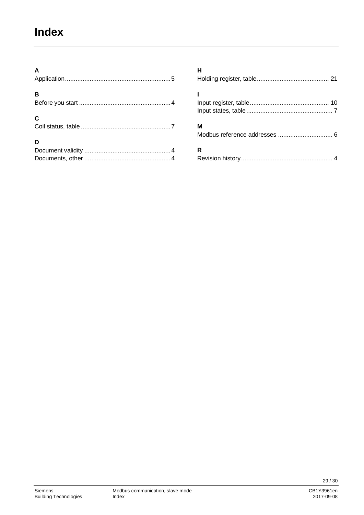## <span id="page-28-0"></span>**Index**

| $\mathsf{A}$ |  |
|--------------|--|
| B            |  |
| C            |  |
| D            |  |
|              |  |

| н |
|---|
|   |
| м |
| R |